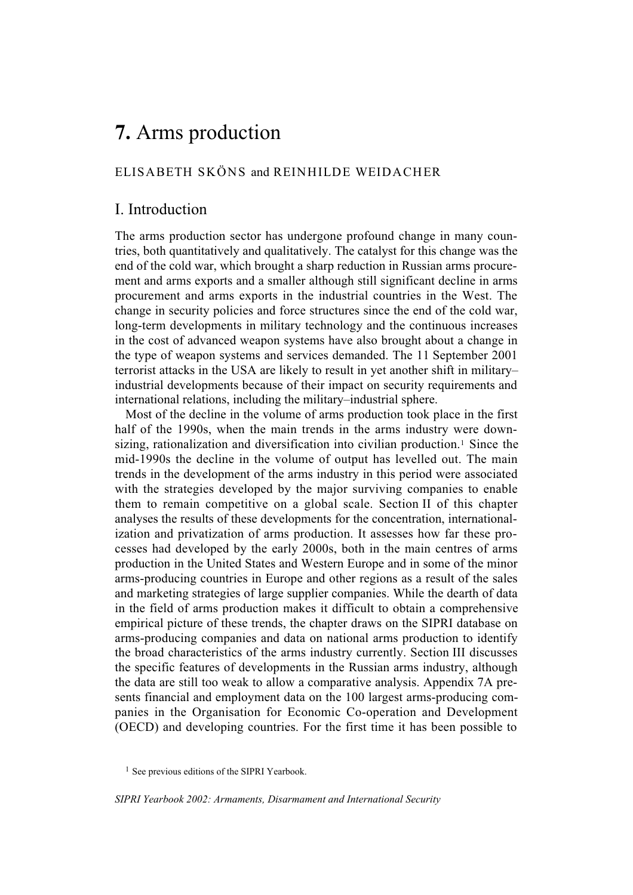# **7.** Arms production

# ELISABETH SKÖNS and REINHILDE WEIDACHER

# I. Introduction

The arms production sector has undergone profound change in many countries, both quantitatively and qualitatively. The catalyst for this change was the end of the cold war, which brought a sharp reduction in Russian arms procurement and arms exports and a smaller although still significant decline in arms procurement and arms exports in the industrial countries in the West. The change in security policies and force structures since the end of the cold war, long-term developments in military technology and the continuous increases in the cost of advanced weapon systems have also brought about a change in the type of weapon systems and services demanded. The 11 September 2001 terrorist attacks in the USA are likely to result in yet another shift in military– industrial developments because of their impact on security requirements and international relations, including the military–industrial sphere.

Most of the decline in the volume of arms production took place in the first half of the 1990s, when the main trends in the arms industry were downsizing, rationalization and diversification into civilian production.1 Since the mid-1990s the decline in the volume of output has levelled out. The main trends in the development of the arms industry in this period were associated with the strategies developed by the major surviving companies to enable them to remain competitive on a global scale. Section II of this chapter analyses the results of these developments for the concentration, internationalization and privatization of arms production. It assesses how far these processes had developed by the early 2000s, both in the main centres of arms production in the United States and Western Europe and in some of the minor arms-producing countries in Europe and other regions as a result of the sales and marketing strategies of large supplier companies. While the dearth of data in the field of arms production makes it difficult to obtain a comprehensive empirical picture of these trends, the chapter draws on the SIPRI database on arms-producing companies and data on national arms production to identify the broad characteristics of the arms industry currently. Section III discusses the specific features of developments in the Russian arms industry, although the data are still too weak to allow a comparative analysis. Appendix 7A presents financial and employment data on the 100 largest arms-producing companies in the Organisation for Economic Co-operation and Development (OECD) and developing countries. For the first time it has been possible to

*SIPRI Yearbook 2002: Armaments, Disarmament and International Security*

<sup>&</sup>lt;sup>1</sup> See previous editions of the SIPRI Yearbook.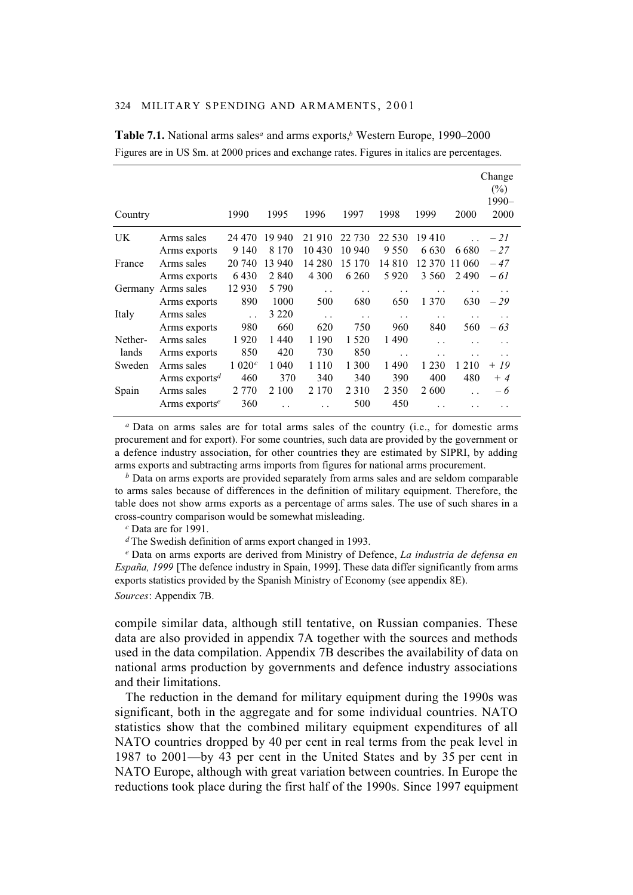| Country   |                           | 1990                 | 1995    | 1996                 | 1997    | 1998                 | 1999                 | 2000    | Change<br>$(\%)$<br>1990-<br>2000 |
|-----------|---------------------------|----------------------|---------|----------------------|---------|----------------------|----------------------|---------|-----------------------------------|
| <b>UK</b> | Arms sales                | 24 470               | 19 940  | 21910                | 22 730  | 22 530               | 19410                |         | $-21$                             |
|           | Arms exports              | 9 1 4 0              | 8 1 7 0 | 10 430               | 10 940  | 9 5 5 0              | 6 6 3 0              | 6 6 8 0 | $-27$                             |
| France    | Arms sales                | 20 740               | 13 940  | 14 280               | 15 170  | 14 8 10              | 12.370               | 11 060  | - 47                              |
|           | Arms exports              | 6430                 | 2 8 4 0 | 4 3 0 0              | 6 2 6 0 | 5920                 | 3 5 6 0              | 2490    | $-61$                             |
| Germany   | Arms sales                | 12 9 30              | 5 7 9 0 | $\ddot{\phantom{0}}$ | . .     | $\cdot$ .            |                      |         |                                   |
|           | Arms exports              | 890                  | 1000    | 500                  | 680     | 650                  | 1 370                | 630     | $-29$                             |
| Italy     | Arms sales                | $\ddot{\phantom{0}}$ | 3 2 2 0 | $\ddotsc$            | . .     | $\ddot{\phantom{0}}$ | . .                  | . .     | $\cdot$ .                         |
|           | Arms exports              | 980                  | 660     | 620                  | 750     | 960                  | 840                  | 560     | - 63                              |
| Nether-   | Arms sales                | 1920                 | 1440    | 1 1 9 0              | 1 5 2 0 | 1490                 | $\ddot{\phantom{0}}$ |         |                                   |
| lands     | Arms exports              | 850                  | 420     | 730                  | 850     | $\ddot{\phantom{0}}$ | . .                  |         |                                   |
| Sweden    | Arms sales                | 1 020 <sup>c</sup>   | 1 0 4 0 | 1 1 1 0              | 1 300   | 1490                 | 1 2 3 0              | 1 2 1 0 | + 19                              |
|           | Arms exports <sup>d</sup> | 460                  | 370     | 340                  | 340     | 390                  | 400                  | 480     | $+4$                              |
| Spain     | Arms sales                | 2 7 7 0              | 2 100   | 2 1 7 0              | 2 3 1 0 | 2 3 5 0              | 2600                 |         | - 6                               |
|           | Arms exports <sup>e</sup> | 360                  |         |                      | 500     | 450                  | . .                  |         |                                   |

**Table 7.1.** National arms sales*<sup>a</sup>* and arms exports,*b* Western Europe, 1990–2000 Figures are in US \$m. at 2000 prices and exchange rates. Figures in italics are percentages.

*<sup>a</sup>* Data on arms sales are for total arms sales of the country (i.e., for domestic arms procurement and for export). For some countries, such data are provided by the government or a defence industry association, for other countries they are estimated by SIPRI, by adding arms exports and subtracting arms imports from figures for national arms procurement.

*<sup>b</sup>* Data on arms exports are provided separately from arms sales and are seldom comparable to arms sales because of differences in the definition of military equipment. Therefore, the table does not show arms exports as a percentage of arms sales. The use of such shares in a cross-country comparison would be somewhat misleading.

*<sup>c</sup>* Data are for 1991.

*<sup>d</sup>*The Swedish definition of arms export changed in 1993.

*<sup>e</sup>* Data on arms exports are derived from Ministry of Defence, *La industria de defensa en España, 1999* [The defence industry in Spain, 1999]. These data differ significantly from arms exports statistics provided by the Spanish Ministry of Economy (see appendix 8E).

*Sources*: Appendix 7B.

compile similar data, although still tentative, on Russian companies. These data are also provided in appendix 7A together with the sources and methods used in the data compilation. Appendix 7B describes the availability of data on national arms production by governments and defence industry associations and their limitations.

The reduction in the demand for military equipment during the 1990s was significant, both in the aggregate and for some individual countries. NATO statistics show that the combined military equipment expenditures of all NATO countries dropped by 40 per cent in real terms from the peak level in 1987 to 2001—by 43 per cent in the United States and by 35 per cent in NATO Europe, although with great variation between countries. In Europe the reductions took place during the first half of the 1990s. Since 1997 equipment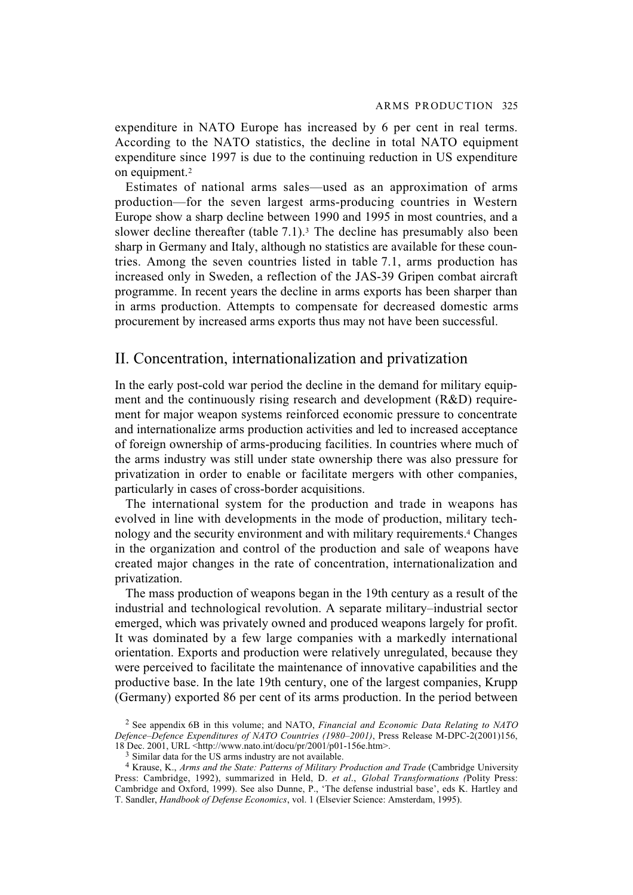expenditure in NATO Europe has increased by 6 per cent in real terms. According to the NATO statistics, the decline in total NATO equipment expenditure since 1997 is due to the continuing reduction in US expenditure on equipment.<sup>2</sup>

Estimates of national arms sales—used as an approximation of arms production—for the seven largest arms-producing countries in Western Europe show a sharp decline between 1990 and 1995 in most countries, and a slower decline thereafter (table  $7.1$ ).<sup>3</sup> The decline has presumably also been sharp in Germany and Italy, although no statistics are available for these countries. Among the seven countries listed in table 7.1, arms production has increased only in Sweden, a reflection of the JAS-39 Gripen combat aircraft programme. In recent years the decline in arms exports has been sharper than in arms production. Attempts to compensate for decreased domestic arms procurement by increased arms exports thus may not have been successful.

# II. Concentration, internationalization and privatization

In the early post-cold war period the decline in the demand for military equipment and the continuously rising research and development (R&D) requirement for major weapon systems reinforced economic pressure to concentrate and internationalize arms production activities and led to increased acceptance of foreign ownership of arms-producing facilities. In countries where much of the arms industry was still under state ownership there was also pressure for privatization in order to enable or facilitate mergers with other companies, particularly in cases of cross-border acquisitions.

The international system for the production and trade in weapons has evolved in line with developments in the mode of production, military technology and the security environment and with military requirements.4 Changes in the organization and control of the production and sale of weapons have created major changes in the rate of concentration, internationalization and privatization.

The mass production of weapons began in the 19th century as a result of the industrial and technological revolution. A separate military–industrial sector emerged, which was privately owned and produced weapons largely for profit. It was dominated by a few large companies with a markedly international orientation. Exports and production were relatively unregulated, because they were perceived to facilitate the maintenance of innovative capabilities and the productive base. In the late 19th century, one of the largest companies, Krupp (Germany) exported 86 per cent of its arms production. In the period between

<sup>2</sup> See appendix 6B in this volume; and NATO, *Financial and Economic Data Relating to NATO Defence–Defence Expenditures of NATO Countries (1980–2001)*, Press Release M-DPC-2(2001)156, 18 Dec. 2001, URL <http://www.nato.int/docu/pr/2001/p01-156e.htm>.

<sup>3</sup> Similar data for the US arms industry are not available.

<sup>4</sup> Krause, K., *Arms and the State: Patterns of Military Production and Trade* (Cambridge University Press: Cambridge, 1992), summarized in Held, D. *et al*., *Global Transformations (*Polity Press: Cambridge and Oxford, 1999). See also Dunne, P., 'The defense industrial base', eds K. Hartley and T. Sandler, *Handbook of Defense Economics*, vol. 1 (Elsevier Science: Amsterdam, 1995).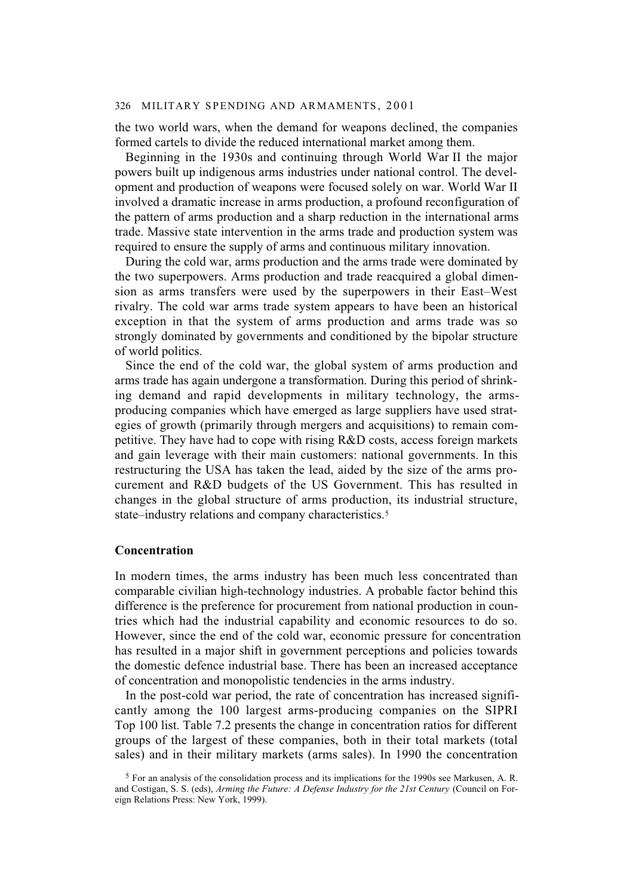the two world wars, when the demand for weapons declined, the companies formed cartels to divide the reduced international market among them.

Beginning in the 1930s and continuing through World War II the major powers built up indigenous arms industries under national control. The development and production of weapons were focused solely on war. World War II involved a dramatic increase in arms production, a profound reconfiguration of the pattern of arms production and a sharp reduction in the international arms trade. Massive state intervention in the arms trade and production system was required to ensure the supply of arms and continuous military innovation.

During the cold war, arms production and the arms trade were dominated by the two superpowers. Arms production and trade reacquired a global dimension as arms transfers were used by the superpowers in their East–West rivalry. The cold war arms trade system appears to have been an historical exception in that the system of arms production and arms trade was so strongly dominated by governments and conditioned by the bipolar structure of world politics.

Since the end of the cold war, the global system of arms production and arms trade has again undergone a transformation. During this period of shrinking demand and rapid developments in military technology, the armsproducing companies which have emerged as large suppliers have used strategies of growth (primarily through mergers and acquisitions) to remain competitive. They have had to cope with rising R&D costs, access foreign markets and gain leverage with their main customers: national governments. In this restructuring the USA has taken the lead, aided by the size of the arms procurement and R&D budgets of the US Government. This has resulted in changes in the global structure of arms production, its industrial structure, state–industry relations and company characteristics.<sup>5</sup>

#### **Concentration**

In modern times, the arms industry has been much less concentrated than comparable civilian high-technology industries. A probable factor behind this difference is the preference for procurement from national production in countries which had the industrial capability and economic resources to do so. However, since the end of the cold war, economic pressure for concentration has resulted in a major shift in government perceptions and policies towards the domestic defence industrial base. There has been an increased acceptance of concentration and monopolistic tendencies in the arms industry.

In the post-cold war period, the rate of concentration has increased significantly among the 100 largest arms-producing companies on the SIPRI Top 100 list. Table 7.2 presents the change in concentration ratios for different groups of the largest of these companies, both in their total markets (total sales) and in their military markets (arms sales). In 1990 the concentration

<sup>5</sup> For an analysis of the consolidation process and its implications for the 1990s see Markusen, A. R. and Costigan, S. S. (eds), *Arming the Future: A Defense Industry for the 21st Century* (Council on Foreign Relations Press: New York, 1999).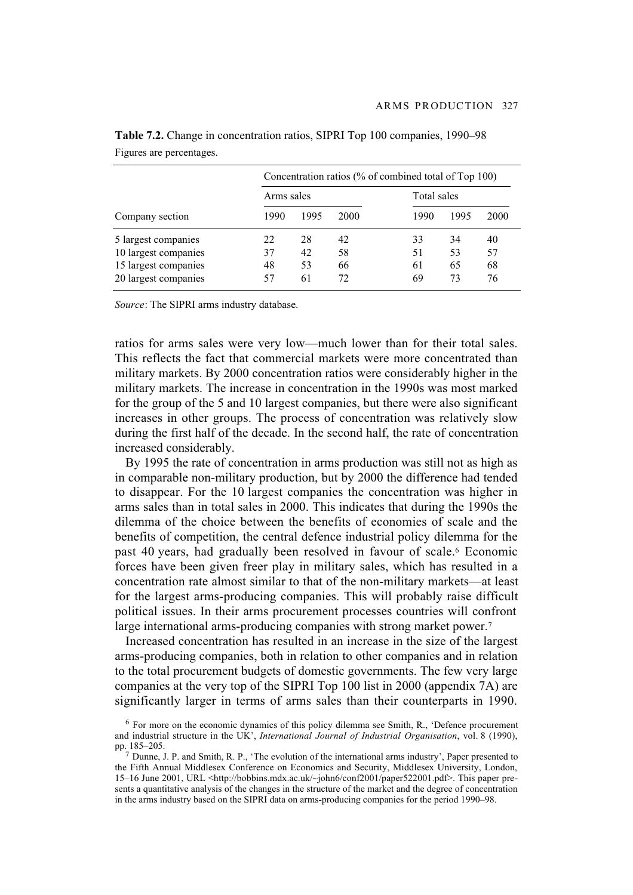|                      | Concentration ratios (% of combined total of Top 100) |      |      |             |      |      |  |  |
|----------------------|-------------------------------------------------------|------|------|-------------|------|------|--|--|
|                      | Arms sales                                            |      |      | Total sales |      |      |  |  |
| Company section      | 1990                                                  | 1995 | 2000 | 1990        | 1995 | 2000 |  |  |
| 5 largest companies  | 22                                                    | 28   | 42   | 33          | 34   | 40   |  |  |
| 10 largest companies | 37                                                    | 42   | 58   | 51          | 53   | 57   |  |  |
| 15 largest companies | 48                                                    | 53   | 66   | 61          | 65   | 68   |  |  |
| 20 largest companies | 57                                                    | 61   | 72   | 69          | 73   | 76   |  |  |

**Table 7.2.** Change in concentration ratios, SIPRI Top 100 companies, 1990–98 Figures are percentages.

*Source*: The SIPRI arms industry database.

ratios for arms sales were very low—much lower than for their total sales. This reflects the fact that commercial markets were more concentrated than military markets. By 2000 concentration ratios were considerably higher in the military markets. The increase in concentration in the 1990s was most marked for the group of the 5 and 10 largest companies, but there were also significant increases in other groups. The process of concentration was relatively slow during the first half of the decade. In the second half, the rate of concentration increased considerably.

By 1995 the rate of concentration in arms production was still not as high as in comparable non-military production, but by 2000 the difference had tended to disappear. For the 10 largest companies the concentration was higher in arms sales than in total sales in 2000. This indicates that during the 1990s the dilemma of the choice between the benefits of economies of scale and the benefits of competition, the central defence industrial policy dilemma for the past 40 years, had gradually been resolved in favour of scale.<sup>6</sup> Economic forces have been given freer play in military sales, which has resulted in a concentration rate almost similar to that of the non-military markets—at least for the largest arms-producing companies. This will probably raise difficult political issues. In their arms procurement processes countries will confront large international arms-producing companies with strong market power.<sup>7</sup>

Increased concentration has resulted in an increase in the size of the largest arms-producing companies, both in relation to other companies and in relation to the total procurement budgets of domestic governments. The few very large companies at the very top of the SIPRI Top 100 list in 2000 (appendix 7A) are significantly larger in terms of arms sales than their counterparts in 1990.

 $6$  For more on the economic dynamics of this policy dilemma see Smith, R., 'Defence procurement and industrial structure in the UK', *International Journal of Industrial Organisation*, vol. 8 (1990), pp. 185–205.

 $<sup>7</sup>$  Dunne, J. P. and Smith, R. P., 'The evolution of the international arms industry', Paper presented to</sup> the Fifth Annual Middlesex Conference on Economics and Security, Middlesex University, London, 15–16 June 2001, URL <http://bobbins.mdx.ac.uk/~john6/conf2001/paper522001.pdf>. This paper presents a quantitative analysis of the changes in the structure of the market and the degree of concentration in the arms industry based on the SIPRI data on arms-producing companies for the period 1990–98.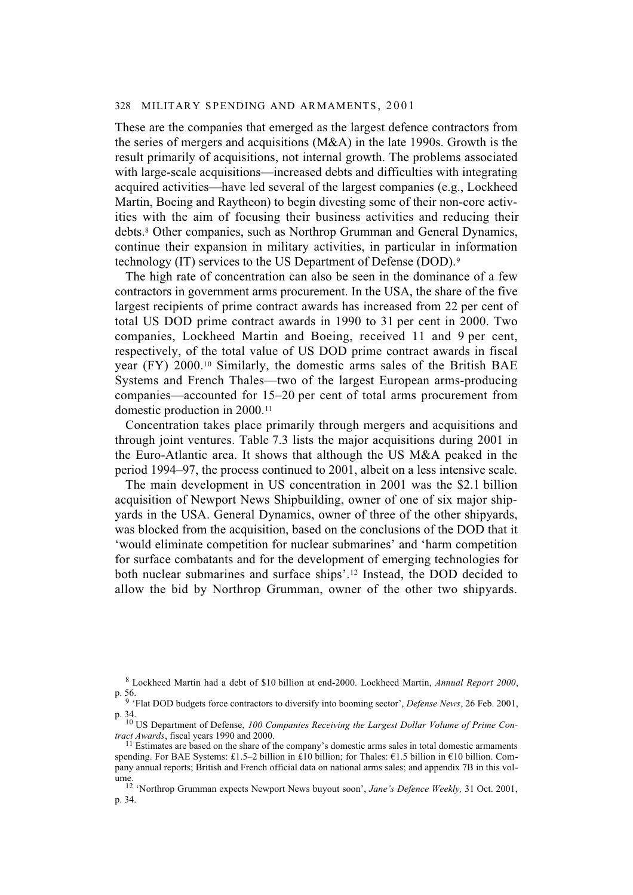These are the companies that emerged as the largest defence contractors from the series of mergers and acquisitions (M&A) in the late 1990s. Growth is the result primarily of acquisitions, not internal growth. The problems associated with large-scale acquisitions—increased debts and difficulties with integrating acquired activities—have led several of the largest companies (e.g., Lockheed Martin, Boeing and Raytheon) to begin divesting some of their non-core activities with the aim of focusing their business activities and reducing their debts.8 Other companies, such as Northrop Grumman and General Dynamics, continue their expansion in military activities, in particular in information technology (IT) services to the US Department of Defense (DOD).9

The high rate of concentration can also be seen in the dominance of a few contractors in government arms procurement. In the USA, the share of the five largest recipients of prime contract awards has increased from 22 per cent of total US DOD prime contract awards in 1990 to 31 per cent in 2000. Two companies, Lockheed Martin and Boeing, received 11 and 9 per cent, respectively, of the total value of US DOD prime contract awards in fiscal year (FY) 2000.10 Similarly, the domestic arms sales of the British BAE Systems and French Thales—two of the largest European arms-producing companies—accounted for 15–20 per cent of total arms procurement from domestic production in 2000.11

Concentration takes place primarily through mergers and acquisitions and through joint ventures. Table 7.3 lists the major acquisitions during 2001 in the Euro-Atlantic area. It shows that although the US M&A peaked in the period 1994–97, the process continued to 2001, albeit on a less intensive scale.

The main development in US concentration in 2001 was the \$2.1 billion acquisition of Newport News Shipbuilding, owner of one of six major shipyards in the USA. General Dynamics, owner of three of the other shipyards, was blocked from the acquisition, based on the conclusions of the DOD that it 'would eliminate competition for nuclear submarines' and 'harm competition for surface combatants and for the development of emerging technologies for both nuclear submarines and surface ships'.12 Instead, the DOD decided to allow the bid by Northrop Grumman, owner of the other two shipyards.

<sup>8</sup> Lockheed Martin had a debt of \$10 billion at end-2000. Lockheed Martin, *Annual Report 2000*, p. 56.

<sup>9 &#</sup>x27;Flat DOD budgets force contractors to diversify into booming sector', *Defense News*, 26 Feb. 2001, p. 34.

<sup>10</sup> US Department of Defense, *100 Companies Receiving the Largest Dollar Volume of Prime Contract Awards*, fiscal years 1990 and 2000.

 $11$  Estimates are based on the share of the company's domestic arms sales in total domestic armaments spending. For BAE Systems: £1.5–2 billion in £10 billion; for Thales:  $\epsilon$ 1.5 billion in  $\epsilon$ 10 billion. Company annual reports; British and French official data on national arms sales; and appendix 7B in this volume. 12 'Northrop Grumman expects Newport News buyout soon', *Jane's Defence Weekly,* 31 Oct. 2001,

p. 34.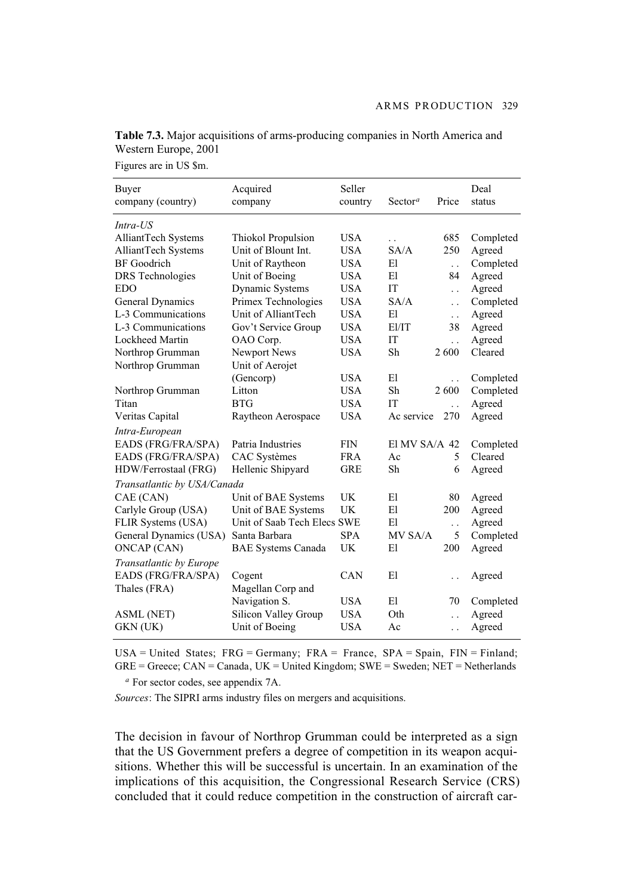| Buyer                       | Acquired                    | Seller     |                                  |                      | Deal      |
|-----------------------------|-----------------------------|------------|----------------------------------|----------------------|-----------|
| company (country)           | company                     | country    | Sector <sup><math>a</math></sup> | Price                | status    |
| Intra-US                    |                             |            |                                  |                      |           |
| AlliantTech Systems         | Thiokol Propulsion          | <b>USA</b> | $\ddot{\phantom{0}}$             | 685                  | Completed |
| AlliantTech Systems         | Unit of Blount Int.         | <b>USA</b> | SA/A                             | 250                  | Agreed    |
| <b>BF</b> Goodrich          | Unit of Raytheon            | <b>USA</b> | E1                               | $\ddot{\phantom{0}}$ | Completed |
| <b>DRS</b> Technologies     | Unit of Boeing              | <b>USA</b> | El                               | 84                   | Agreed    |
| <b>EDO</b>                  | Dynamic Systems             | <b>USA</b> | IT                               | $\ddot{\phantom{0}}$ | Agreed    |
| General Dynamics            | Primex Technologies         | <b>USA</b> | SA/A                             | $\ddot{\phantom{0}}$ | Completed |
| L-3 Communications          | Unit of AlliantTech         | <b>USA</b> | E1                               | $\ddot{\phantom{0}}$ | Agreed    |
| L-3 Communications          | Gov't Service Group         | <b>USA</b> | E1/IT                            | 38                   | Agreed    |
| Lockheed Martin             | OAO Corp.                   | <b>USA</b> | IT                               | $\ddot{\phantom{0}}$ | Agreed    |
| Northrop Grumman            | Newport News                | <b>USA</b> | Sh                               | 2600                 | Cleared   |
| Northrop Grumman            | Unit of Aerojet             |            |                                  |                      |           |
|                             | (Gencorp)                   | <b>USA</b> | E1                               | $\ddot{\phantom{0}}$ | Completed |
| Northrop Grumman            | Litton                      | <b>USA</b> | Sh                               | 2600                 | Completed |
| Titan                       | <b>BTG</b>                  | <b>USA</b> | IT                               | $\ddot{\phantom{0}}$ | Agreed    |
| Veritas Capital             | Raytheon Aerospace          | <b>USA</b> | Ac service                       | 270                  | Agreed    |
| Intra-European              |                             |            |                                  |                      |           |
| EADS (FRG/FRA/SPA)          | Patria Industries           | <b>FIN</b> | El MV SA/A $42$                  |                      | Completed |
| EADS (FRG/FRA/SPA)          | CAC Systèmes                | <b>FRA</b> | Ac                               | 5                    | Cleared   |
| HDW/Ferrostaal (FRG)        | Hellenic Shipyard           | <b>GRE</b> | Sh                               | 6                    | Agreed    |
| Transatlantic by USA/Canada |                             |            |                                  |                      |           |
| CAE (CAN)                   | Unit of BAE Systems         | UK         | E1                               | 80                   | Agreed    |
| Carlyle Group (USA)         | Unit of BAE Systems         | UK         | E1                               | 200                  | Agreed    |
| FLIR Systems (USA)          | Unit of Saab Tech Elecs SWE |            | E1                               | . .                  | Agreed    |
| General Dynamics (USA)      | Santa Barbara               | <b>SPA</b> | MV SA/A                          | 5                    | Completed |
| <b>ONCAP</b> (CAN)          | <b>BAE Systems Canada</b>   | UK         | El                               | 200                  | Agreed    |
| Transatlantic by Europe     |                             |            |                                  |                      |           |
| EADS (FRG/FRA/SPA)          | Cogent                      | <b>CAN</b> | El                               |                      | Agreed    |
| Thales (FRA)                | Magellan Corp and           |            |                                  |                      |           |
|                             | Navigation S.               | <b>USA</b> | E1                               | 70                   | Completed |
| <b>ASML</b> (NET)           | Silicon Valley Group        | <b>USA</b> | Oth                              | $\ddot{\phantom{0}}$ | Agreed    |
| GKN (UK)                    | Unit of Boeing              | <b>USA</b> | Ac                               | $\ddot{\phantom{0}}$ | Agreed    |

**Table 7.3.** Major acquisitions of arms-producing companies in North America and Western Europe, 2001

Figures are in US \$m.

USA = United States;  $FRG = Germany$ ;  $FRA = France$ ,  $SPA = Spain$ ,  $FIN = Finland$ ;  $GRE = Greece$ ;  $CAN = Canada$ ,  $UK = United Kingdom$ ;  $SWE = Sweden$ ;  $NET = Netherlands$ 

*<sup>a</sup>* For sector codes, see appendix 7A.

*Sources*: The SIPRI arms industry files on mergers and acquisitions.

The decision in favour of Northrop Grumman could be interpreted as a sign that the US Government prefers a degree of competition in its weapon acquisitions. Whether this will be successful is uncertain. In an examination of the implications of this acquisition, the Congressional Research Service (CRS) concluded that it could reduce competition in the construction of aircraft car-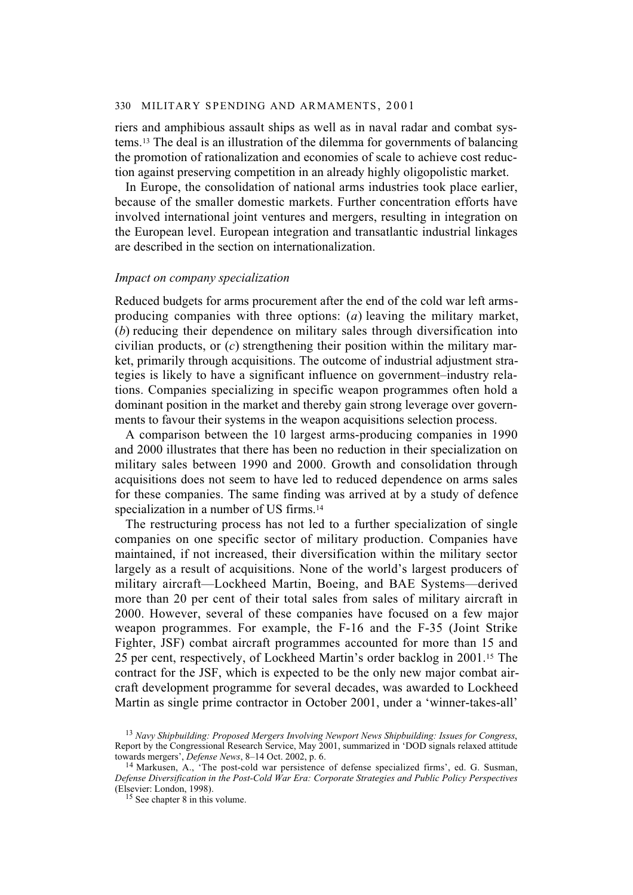riers and amphibious assault ships as well as in naval radar and combat systems.13 The deal is an illustration of the dilemma for governments of balancing the promotion of rationalization and economies of scale to achieve cost reduction against preserving competition in an already highly oligopolistic market.

In Europe, the consolidation of national arms industries took place earlier, because of the smaller domestic markets. Further concentration efforts have involved international joint ventures and mergers, resulting in integration on the European level. European integration and transatlantic industrial linkages are described in the section on internationalization.

# *Impact on company specialization*

Reduced budgets for arms procurement after the end of the cold war left armsproducing companies with three options: (*a*) leaving the military market, (*b*) reducing their dependence on military sales through diversification into civilian products, or (*c*) strengthening their position within the military market, primarily through acquisitions. The outcome of industrial adjustment strategies is likely to have a significant influence on government–industry relations. Companies specializing in specific weapon programmes often hold a dominant position in the market and thereby gain strong leverage over governments to favour their systems in the weapon acquisitions selection process.

A comparison between the 10 largest arms-producing companies in 1990 and 2000 illustrates that there has been no reduction in their specialization on military sales between 1990 and 2000. Growth and consolidation through acquisitions does not seem to have led to reduced dependence on arms sales for these companies. The same finding was arrived at by a study of defence specialization in a number of US firms.<sup>14</sup>

The restructuring process has not led to a further specialization of single companies on one specific sector of military production. Companies have maintained, if not increased, their diversification within the military sector largely as a result of acquisitions. None of the world's largest producers of military aircraft—Lockheed Martin, Boeing, and BAE Systems—derived more than 20 per cent of their total sales from sales of military aircraft in 2000. However, several of these companies have focused on a few major weapon programmes. For example, the F-16 and the F-35 (Joint Strike Fighter, JSF) combat aircraft programmes accounted for more than 15 and 25 per cent, respectively, of Lockheed Martin's order backlog in 2001.15 The contract for the JSF, which is expected to be the only new major combat aircraft development programme for several decades, was awarded to Lockheed Martin as single prime contractor in October 2001, under a 'winner-takes-all'

<sup>13</sup> *Navy Shipbuilding: Proposed Mergers Involving Newport News Shipbuilding: Issues for Congress*, Report by the Congressional Research Service, May 2001, summarized in 'DOD signals relaxed attitude towards mergers', *Defense News*, 8–14 Oct. 2002, p. 6.

<sup>&</sup>lt;sup>14</sup> Markusen, A., 'The post-cold war persistence of defense specialized firms', ed. G. Susman, *Defense Diversification in the Post-Cold War Era: Corporate Strategies and Public Policy Perspectives* (Elsevier: London, 1998).

<sup>15</sup> See chapter 8 in this volume.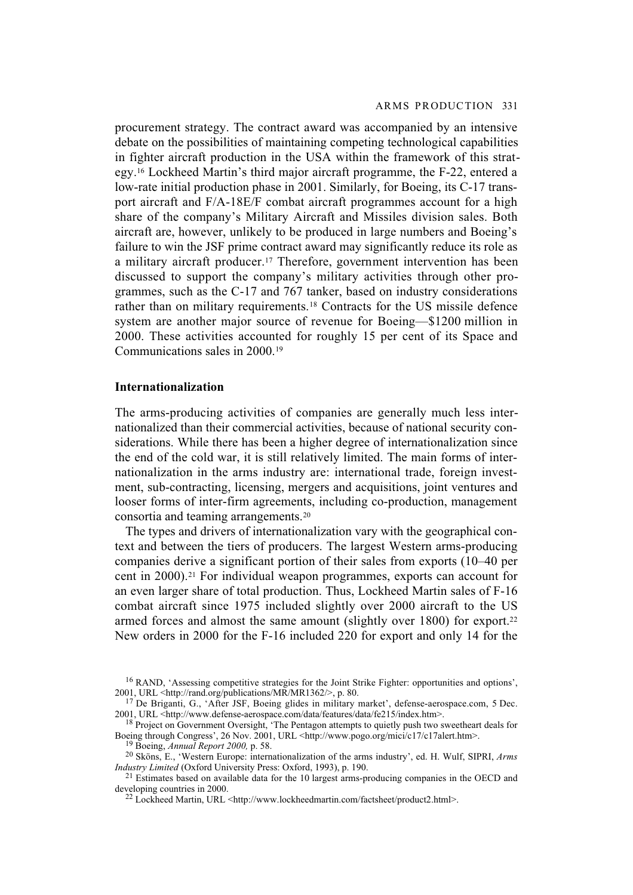procurement strategy. The contract award was accompanied by an intensive debate on the possibilities of maintaining competing technological capabilities in fighter aircraft production in the USA within the framework of this strategy.16 Lockheed Martin's third major aircraft programme, the F-22, entered a low-rate initial production phase in 2001. Similarly, for Boeing, its C-17 transport aircraft and F/A-18E/F combat aircraft programmes account for a high share of the company's Military Aircraft and Missiles division sales. Both aircraft are, however, unlikely to be produced in large numbers and Boeing's failure to win the JSF prime contract award may significantly reduce its role as a military aircraft producer.17 Therefore, government intervention has been discussed to support the company's military activities through other programmes, such as the C-17 and 767 tanker, based on industry considerations rather than on military requirements.18 Contracts for the US missile defence system are another major source of revenue for Boeing—\$1200 million in 2000. These activities accounted for roughly 15 per cent of its Space and Communications sales in 2000.19

## **Internationalization**

The arms-producing activities of companies are generally much less internationalized than their commercial activities, because of national security considerations. While there has been a higher degree of internationalization since the end of the cold war, it is still relatively limited. The main forms of internationalization in the arms industry are: international trade, foreign investment, sub-contracting, licensing, mergers and acquisitions, joint ventures and looser forms of inter-firm agreements, including co-production, management consortia and teaming arrangements.20

The types and drivers of internationalization vary with the geographical context and between the tiers of producers. The largest Western arms-producing companies derive a significant portion of their sales from exports (10–40 per cent in 2000).21 For individual weapon programmes, exports can account for an even larger share of total production. Thus, Lockheed Martin sales of F-16 combat aircraft since 1975 included slightly over 2000 aircraft to the US armed forces and almost the same amount (slightly over 1800) for export.22 New orders in 2000 for the F-16 included 220 for export and only 14 for the

<sup>&</sup>lt;sup>16</sup> RAND, 'Assessing competitive strategies for the Joint Strike Fighter: opportunities and options', 2001, URL <http://rand.org/publications/MR/MR1362/>, p. 80.

 $17$  De Briganti, G., 'After JSF, Boeing glides in military market', defense-aerospace.com, 5 Dec. 2001, URL <http://www.defense-aerospace.com/data/features/data/fe215/index.htm>.

<sup>&</sup>lt;sup>18</sup> Project on Government Oversight, 'The Pentagon attempts to quietly push two sweetheart deals for Boeing through Congress', 26 Nov. 2001, URL <http://www.pogo.org/mici/c17/c17alert.htm>.

<sup>19</sup> Boeing, *Annual Report 2000,* p. 58.

<sup>20</sup> Sköns, E., 'Western Europe: internationalization of the arms industry', ed. H. Wulf, SIPRI, *Arms Industry Limited* (Oxford University Press: Oxford, 1993), p. 190.

<sup>&</sup>lt;sup>21</sup> Estimates based on available data for the 10 largest arms-producing companies in the OECD and developing countries in 2000.

<sup>22</sup> Lockheed Martin, URL <http://www.lockheedmartin.com/factsheet/product2.html>.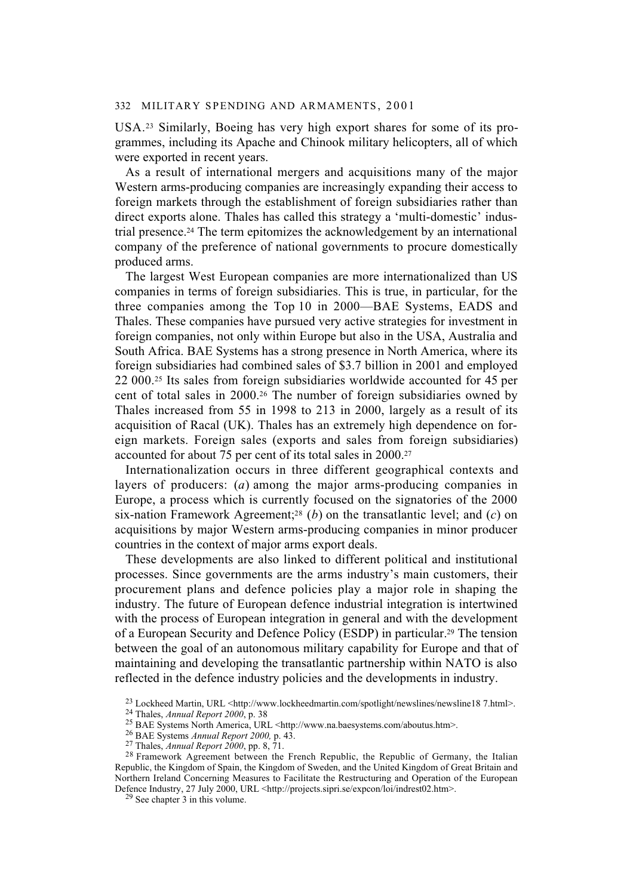USA.23 Similarly, Boeing has very high export shares for some of its programmes, including its Apache and Chinook military helicopters, all of which were exported in recent years.

As a result of international mergers and acquisitions many of the major Western arms-producing companies are increasingly expanding their access to foreign markets through the establishment of foreign subsidiaries rather than direct exports alone. Thales has called this strategy a 'multi-domestic' industrial presence.24 The term epitomizes the acknowledgement by an international company of the preference of national governments to procure domestically produced arms.

The largest West European companies are more internationalized than US companies in terms of foreign subsidiaries. This is true, in particular, for the three companies among the Top 10 in 2000—BAE Systems, EADS and Thales. These companies have pursued very active strategies for investment in foreign companies, not only within Europe but also in the USA, Australia and South Africa. BAE Systems has a strong presence in North America, where its foreign subsidiaries had combined sales of \$3.7 billion in 2001 and employed 22 000.25 Its sales from foreign subsidiaries worldwide accounted for 45 per cent of total sales in 2000.26 The number of foreign subsidiaries owned by Thales increased from 55 in 1998 to 213 in 2000, largely as a result of its acquisition of Racal (UK). Thales has an extremely high dependence on foreign markets. Foreign sales (exports and sales from foreign subsidiaries) accounted for about 75 per cent of its total sales in 2000.27

Internationalization occurs in three different geographical contexts and layers of producers: (*a*) among the major arms-producing companies in Europe, a process which is currently focused on the signatories of the 2000 six-nation Framework Agreement;28 (*b*) on the transatlantic level; and (*c*) on acquisitions by major Western arms-producing companies in minor producer countries in the context of major arms export deals.

These developments are also linked to different political and institutional processes. Since governments are the arms industry's main customers, their procurement plans and defence policies play a major role in shaping the industry. The future of European defence industrial integration is intertwined with the process of European integration in general and with the development of a European Security and Defence Policy (ESDP) in particular.29 The tension between the goal of an autonomous military capability for Europe and that of maintaining and developing the transatlantic partnership within NATO is also reflected in the defence industry policies and the developments in industry.

<sup>&</sup>lt;sup>23</sup> Lockheed Martin, URL <http://www.lockheedmartin.com/spotlight/newslines/newsline18 7.html>.

<sup>24</sup> Thales, *Annual Report 2000*, p. 38

<sup>25</sup> BAE Systems North America, URL <http://www.na.baesystems.com/aboutus.htm>.

<sup>26</sup> BAE Systems *Annual Report 2000,* p. 43.

<sup>27</sup> Thales, *Annual Report 2000*, pp. 8, 71.

<sup>&</sup>lt;sup>28</sup> Framework Agreement between the French Republic, the Republic of Germany, the Italian Republic, the Kingdom of Spain, the Kingdom of Sweden, and the United Kingdom of Great Britain and Northern Ireland Concerning Measures to Facilitate the Restructuring and Operation of the European Defence Industry, 27 July 2000, URL <http://projects.sipri.se/expcon/loi/indrest02.htm>.

<sup>29</sup> See chapter 3 in this volume.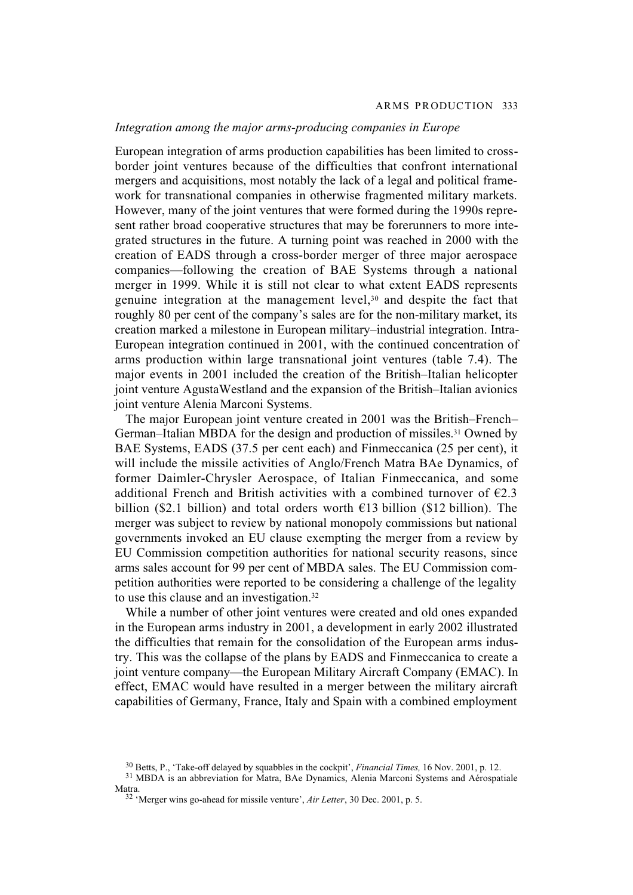# *Integration among the major arms-producing companies in Europe*

European integration of arms production capabilities has been limited to crossborder joint ventures because of the difficulties that confront international mergers and acquisitions, most notably the lack of a legal and political framework for transnational companies in otherwise fragmented military markets. However, many of the joint ventures that were formed during the 1990s represent rather broad cooperative structures that may be forerunners to more integrated structures in the future. A turning point was reached in 2000 with the creation of EADS through a cross-border merger of three major aerospace companies—following the creation of BAE Systems through a national merger in 1999. While it is still not clear to what extent EADS represents genuine integration at the management level,30 and despite the fact that roughly 80 per cent of the company's sales are for the non-military market, its creation marked a milestone in European military–industrial integration. Intra-European integration continued in 2001, with the continued concentration of arms production within large transnational joint ventures (table 7.4). The major events in 2001 included the creation of the British–Italian helicopter joint venture AgustaWestland and the expansion of the British–Italian avionics joint venture Alenia Marconi Systems.

The major European joint venture created in 2001 was the British–French– German–Italian MBDA for the design and production of missiles.31 Owned by BAE Systems, EADS (37.5 per cent each) and Finmeccanica (25 per cent), it will include the missile activities of Anglo/French Matra BAe Dynamics, of former Daimler-Chrysler Aerospace, of Italian Finmeccanica, and some additional French and British activities with a combined turnover of  $\epsilon$ 2.3 billion (\$2.1 billion) and total orders worth  $\epsilon$ 13 billion (\$12 billion). The merger was subject to review by national monopoly commissions but national governments invoked an EU clause exempting the merger from a review by EU Commission competition authorities for national security reasons, since arms sales account for 99 per cent of MBDA sales. The EU Commission competition authorities were reported to be considering a challenge of the legality to use this clause and an investigation.32

While a number of other joint ventures were created and old ones expanded in the European arms industry in 2001, a development in early 2002 illustrated the difficulties that remain for the consolidation of the European arms industry. This was the collapse of the plans by EADS and Finmeccanica to create a joint venture company—the European Military Aircraft Company (EMAC). In effect, EMAC would have resulted in a merger between the military aircraft capabilities of Germany, France, Italy and Spain with a combined employment

<sup>30</sup> Betts, P., 'Take-off delayed by squabbles in the cockpit', *Financial Times,* 16 Nov. 2001, p. 12.

<sup>&</sup>lt;sup>31</sup> MBDA is an abbreviation for Matra, BAe Dynamics, Alenia Marconi Systems and Aérospatiale Matra.

<sup>32 &#</sup>x27;Merger wins go-ahead for missile venture', *Air Letter*, 30 Dec. 2001, p. 5.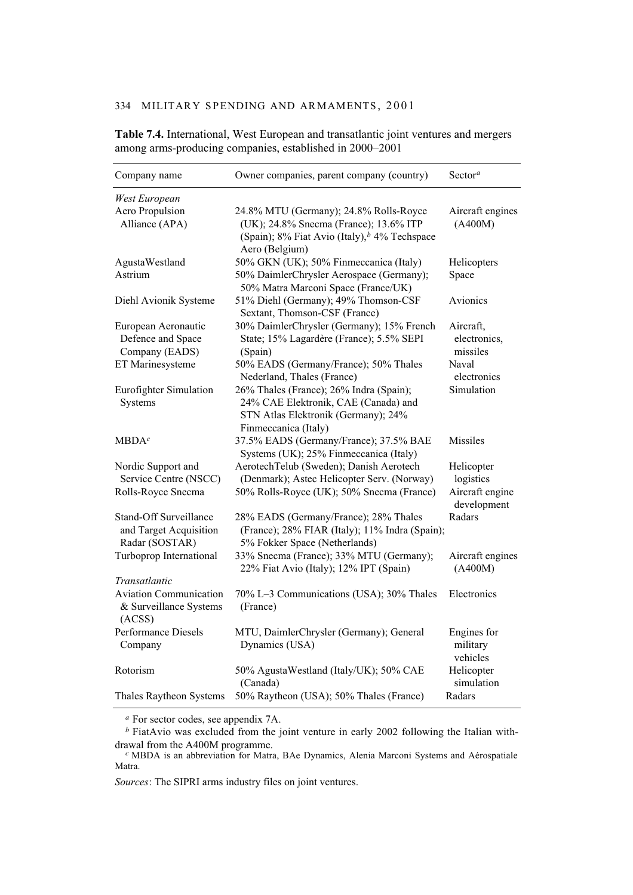| Company name                                                              | Owner companies, parent company (country)                                                                                                                      | Sector <sup>a</sup>                   |
|---------------------------------------------------------------------------|----------------------------------------------------------------------------------------------------------------------------------------------------------------|---------------------------------------|
| West European                                                             |                                                                                                                                                                |                                       |
| Aero Propulsion<br>Alliance (APA)                                         | 24.8% MTU (Germany); 24.8% Rolls-Royce<br>(UK); 24.8% Snecma (France); 13.6% ITP<br>(Spain); 8% Fiat Avio (Italy), <sup>b</sup> 4% Techspace<br>Aero (Belgium) | Aircraft engines<br>(A400M)           |
| AgustaWestland                                                            | 50% GKN (UK); 50% Finmeccanica (Italy)                                                                                                                         | Helicopters                           |
| Astrium                                                                   | 50% DaimlerChrysler Aerospace (Germany);<br>50% Matra Marconi Space (France/UK)                                                                                | Space                                 |
| Diehl Avionik Systeme                                                     | 51% Diehl (Germany); 49% Thomson-CSF<br>Sextant, Thomson-CSF (France)                                                                                          | Avionics                              |
| European Aeronautic<br>Defence and Space<br>Company (EADS)                | 30% DaimlerChrysler (Germany); 15% French<br>State; 15% Lagardère (France); 5.5% SEPI<br>(Spain)                                                               | Aircraft,<br>electronics,<br>missiles |
| ET Marinesysteme                                                          | 50% EADS (Germany/France); 50% Thales<br>Nederland, Thales (France)                                                                                            | Naval<br>electronics                  |
| Eurofighter Simulation<br>Systems                                         | 26% Thales (France); 26% Indra (Spain);<br>24% CAE Elektronik, CAE (Canada) and<br>STN Atlas Elektronik (Germany); 24%<br>Finmeccanica (Italy)                 | Simulation                            |
| MBDA <sup>c</sup>                                                         | 37.5% EADS (Germany/France); 37.5% BAE<br>Systems (UK); 25% Finmeccanica (Italy)                                                                               | <b>Missiles</b>                       |
| Nordic Support and<br>Service Centre (NSCC)                               | AerotechTelub (Sweden); Danish Aerotech<br>(Denmark); Astec Helicopter Serv. (Norway)                                                                          | Helicopter<br>logistics               |
| Rolls-Royce Snecma                                                        | 50% Rolls-Royce (UK); 50% Snecma (France)                                                                                                                      | Aircraft engine<br>development        |
| <b>Stand-Off Surveillance</b><br>and Target Acquisition<br>Radar (SOSTAR) | 28% EADS (Germany/France); 28% Thales<br>(France); 28% FIAR (Italy); 11% Indra (Spain);<br>5% Fokker Space (Netherlands)                                       | Radars                                |
| Turboprop International                                                   | 33% Snecma (France); 33% MTU (Germany);<br>22% Fiat Avio (Italy); 12% IPT (Spain)                                                                              | Aircraft engines<br>(A400M)           |
| Transatlantic                                                             |                                                                                                                                                                |                                       |
| <b>Aviation Communication</b><br>& Surveillance Systems<br>(ACSS)         | 70% L-3 Communications (USA); 30% Thales<br>(France)                                                                                                           | Electronics                           |
| Performance Diesels<br>Company                                            | MTU, DaimlerChrysler (Germany); General<br>Dynamics (USA)                                                                                                      | Engines for<br>military<br>vehicles   |
| Rotorism                                                                  | 50% AgustaWestland (Italy/UK); 50% CAE<br>(Canada)                                                                                                             | Helicopter<br>simulation              |
| Thales Raytheon Systems                                                   | 50% Raytheon (USA); 50% Thales (France)                                                                                                                        | Radars                                |

**Table 7.4.** International, West European and transatlantic joint ventures and mergers among arms-producing companies, established in 2000–2001

*<sup>a</sup>* For sector codes, see appendix 7A.

*b* FiatAvio was excluded from the joint venture in early 2002 following the Italian with-<br>drawal from the A400M programme.

drawal from the A400M programme. *<sup>c</sup>* MBDA is an abbreviation for Matra, BAe Dynamics, Alenia Marconi Systems and Aérospatiale Matra.

*Sources*: The SIPRI arms industry files on joint ventures.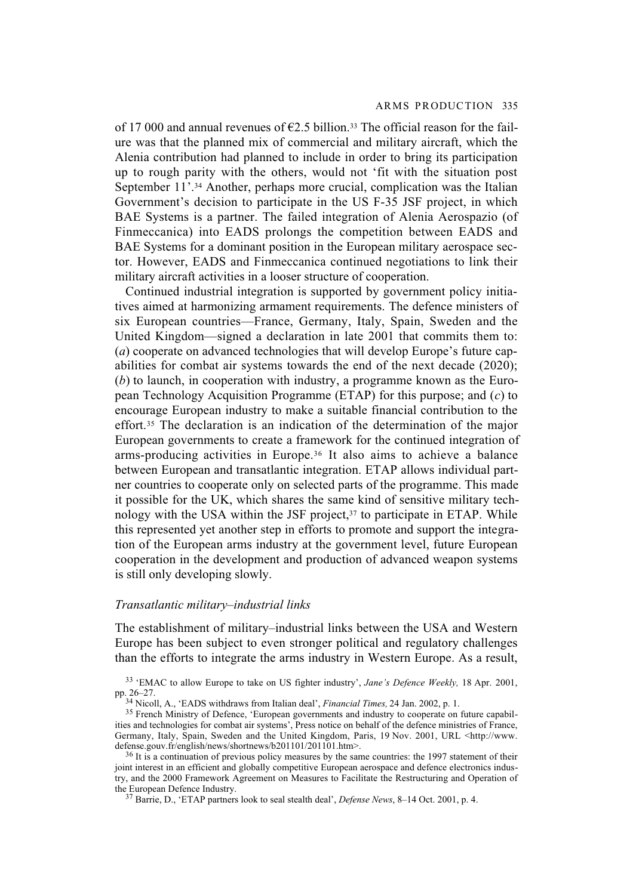of 17 000 and annual revenues of  $\epsilon$ 2.5 billion.<sup>33</sup> The official reason for the failure was that the planned mix of commercial and military aircraft, which the Alenia contribution had planned to include in order to bring its participation up to rough parity with the others, would not 'fit with the situation post September 11'.<sup>34</sup> Another, perhaps more crucial, complication was the Italian Government's decision to participate in the US F-35 JSF project, in which BAE Systems is a partner. The failed integration of Alenia Aerospazio (of Finmeccanica) into EADS prolongs the competition between EADS and BAE Systems for a dominant position in the European military aerospace sector. However, EADS and Finmeccanica continued negotiations to link their military aircraft activities in a looser structure of cooperation.

Continued industrial integration is supported by government policy initiatives aimed at harmonizing armament requirements. The defence ministers of six European countries—France, Germany, Italy, Spain, Sweden and the United Kingdom—signed a declaration in late 2001 that commits them to: (*a*) cooperate on advanced technologies that will develop Europe's future capabilities for combat air systems towards the end of the next decade (2020); (*b*) to launch, in cooperation with industry, a programme known as the European Technology Acquisition Programme (ETAP) for this purpose; and (*c*) to encourage European industry to make a suitable financial contribution to the effort.35 The declaration is an indication of the determination of the major European governments to create a framework for the continued integration of arms-producing activities in Europe.36 It also aims to achieve a balance between European and transatlantic integration. ETAP allows individual partner countries to cooperate only on selected parts of the programme. This made it possible for the UK, which shares the same kind of sensitive military technology with the USA within the JSF project, $37$  to participate in ETAP. While this represented yet another step in efforts to promote and support the integration of the European arms industry at the government level, future European cooperation in the development and production of advanced weapon systems is still only developing slowly.

## *Transatlantic military–industrial links*

The establishment of military–industrial links between the USA and Western Europe has been subject to even stronger political and regulatory challenges than the efforts to integrate the arms industry in Western Europe. As a result,

<sup>33 &#</sup>x27;EMAC to allow Europe to take on US fighter industry', *Jane's Defence Weekly,* 18 Apr. 2001, pp. 26–27.

<sup>34</sup> Nicoll, A., 'EADS withdraws from Italian deal', *Financial Times,* 24 Jan. 2002, p. 1.

<sup>&</sup>lt;sup>35</sup> French Ministry of Defence, 'European governments and industry to cooperate on future capabilities and technologies for combat air systems', Press notice on behalf of the defence ministries of France, Germany, Italy, Spain, Sweden and the United Kingdom, Paris, 19 Nov. 2001, URL <http://www. defense.gouv.fr/english/news/shortnews/b201101/201101.htm>.

<sup>&</sup>lt;sup>36</sup> It is a continuation of previous policy measures by the same countries: the 1997 statement of their joint interest in an efficient and globally competitive European aerospace and defence electronics industry, and the 2000 Framework Agreement on Measures to Facilitate the Restructuring and Operation of the European Defence Industry.

<sup>37</sup> Barrie, D., 'ETAP partners look to seal stealth deal', *Defense News*, 8–14 Oct. 2001, p. 4.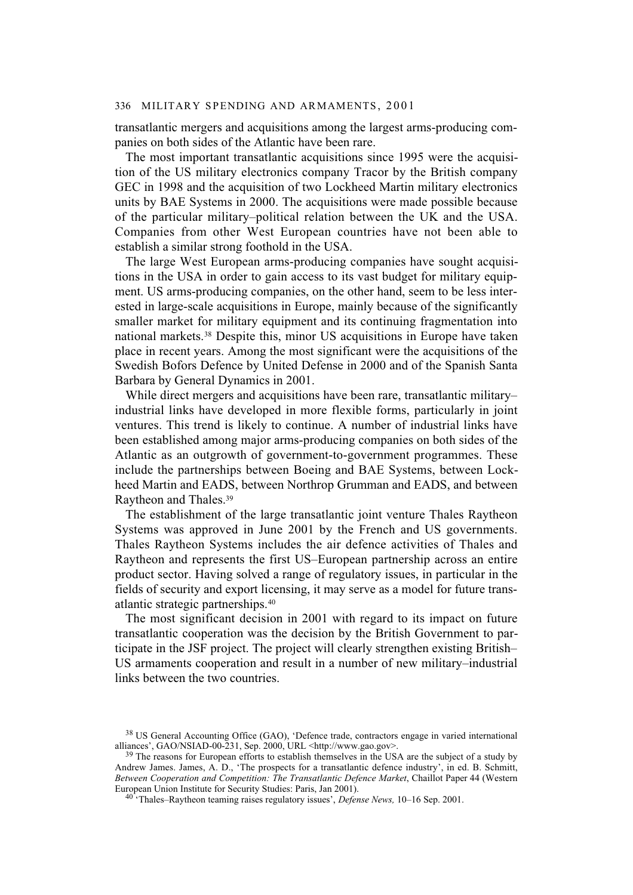transatlantic mergers and acquisitions among the largest arms-producing companies on both sides of the Atlantic have been rare.

The most important transatlantic acquisitions since 1995 were the acquisition of the US military electronics company Tracor by the British company GEC in 1998 and the acquisition of two Lockheed Martin military electronics units by BAE Systems in 2000. The acquisitions were made possible because of the particular military–political relation between the UK and the USA. Companies from other West European countries have not been able to establish a similar strong foothold in the USA.

The large West European arms-producing companies have sought acquisitions in the USA in order to gain access to its vast budget for military equipment. US arms-producing companies, on the other hand, seem to be less interested in large-scale acquisitions in Europe, mainly because of the significantly smaller market for military equipment and its continuing fragmentation into national markets.38 Despite this, minor US acquisitions in Europe have taken place in recent years. Among the most significant were the acquisitions of the Swedish Bofors Defence by United Defense in 2000 and of the Spanish Santa Barbara by General Dynamics in 2001.

While direct mergers and acquisitions have been rare, transatlantic military– industrial links have developed in more flexible forms, particularly in joint ventures. This trend is likely to continue. A number of industrial links have been established among major arms-producing companies on both sides of the Atlantic as an outgrowth of government-to-government programmes. These include the partnerships between Boeing and BAE Systems, between Lockheed Martin and EADS, between Northrop Grumman and EADS, and between Raytheon and Thales.39

The establishment of the large transatlantic joint venture Thales Raytheon Systems was approved in June 2001 by the French and US governments. Thales Raytheon Systems includes the air defence activities of Thales and Raytheon and represents the first US–European partnership across an entire product sector. Having solved a range of regulatory issues, in particular in the fields of security and export licensing, it may serve as a model for future transatlantic strategic partnerships.40

The most significant decision in 2001 with regard to its impact on future transatlantic cooperation was the decision by the British Government to participate in the JSF project. The project will clearly strengthen existing British– US armaments cooperation and result in a number of new military–industrial links between the two countries.

<sup>38</sup> US General Accounting Office (GAO), 'Defence trade, contractors engage in varied international alliances', GAO/NSIAD-00-231, Sep. 2000, URL <http://www.gao.gov>.

<sup>&</sup>lt;sup>39</sup> The reasons for European efforts to establish themselves in the USA are the subject of a study by Andrew James. James, A. D., 'The prospects for a transatlantic defence industry', in ed. B. Schmitt, *Between Cooperation and Competition: The Transatlantic Defence Market*, Chaillot Paper 44 (Western European Union Institute for Security Studies: Paris, Jan 2001).

<sup>40 &#</sup>x27;Thales–Raytheon teaming raises regulatory issues', *Defense News,* 10–16 Sep. 2001.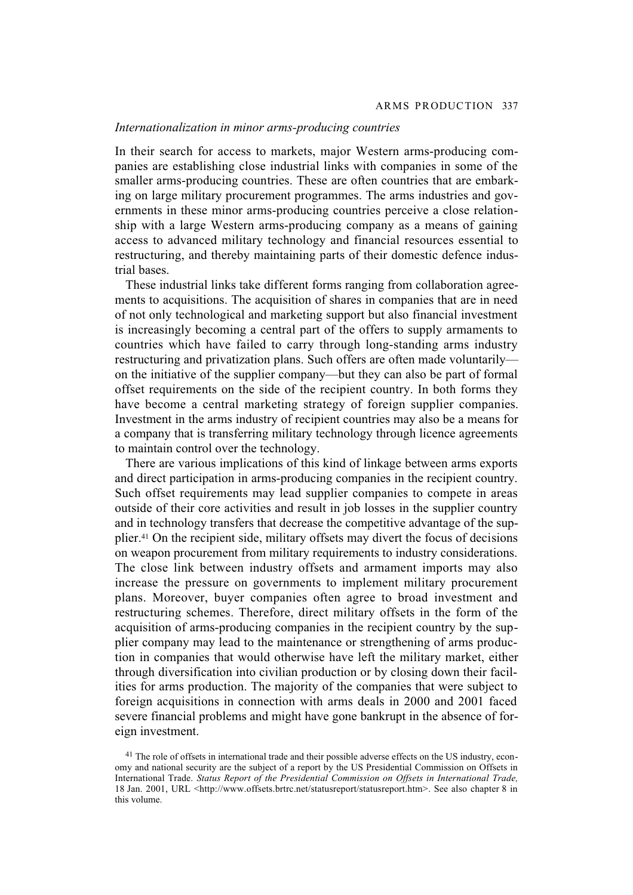#### *Internationalization in minor arms-producing countries*

In their search for access to markets, major Western arms-producing companies are establishing close industrial links with companies in some of the smaller arms-producing countries. These are often countries that are embarking on large military procurement programmes. The arms industries and governments in these minor arms-producing countries perceive a close relationship with a large Western arms-producing company as a means of gaining access to advanced military technology and financial resources essential to restructuring, and thereby maintaining parts of their domestic defence industrial bases.

These industrial links take different forms ranging from collaboration agreements to acquisitions. The acquisition of shares in companies that are in need of not only technological and marketing support but also financial investment is increasingly becoming a central part of the offers to supply armaments to countries which have failed to carry through long-standing arms industry restructuring and privatization plans. Such offers are often made voluntarily on the initiative of the supplier company—but they can also be part of formal offset requirements on the side of the recipient country. In both forms they have become a central marketing strategy of foreign supplier companies. Investment in the arms industry of recipient countries may also be a means for a company that is transferring military technology through licence agreements to maintain control over the technology.

There are various implications of this kind of linkage between arms exports and direct participation in arms-producing companies in the recipient country. Such offset requirements may lead supplier companies to compete in areas outside of their core activities and result in job losses in the supplier country and in technology transfers that decrease the competitive advantage of the supplier.41 On the recipient side, military offsets may divert the focus of decisions on weapon procurement from military requirements to industry considerations. The close link between industry offsets and armament imports may also increase the pressure on governments to implement military procurement plans. Moreover, buyer companies often agree to broad investment and restructuring schemes. Therefore, direct military offsets in the form of the acquisition of arms-producing companies in the recipient country by the supplier company may lead to the maintenance or strengthening of arms production in companies that would otherwise have left the military market, either through diversification into civilian production or by closing down their facilities for arms production. The majority of the companies that were subject to foreign acquisitions in connection with arms deals in 2000 and 2001 faced severe financial problems and might have gone bankrupt in the absence of foreign investment.

<sup>&</sup>lt;sup>41</sup> The role of offsets in international trade and their possible adverse effects on the US industry, economy and national security are the subject of a report by the US Presidential Commission on Offsets in International Trade. *Status Report of the Presidential Commission on Offsets in International Trade,* 18 Jan. 2001, URL <http://www.offsets.brtrc.net/statusreport/statusreport.htm>. See also chapter 8 in this volume.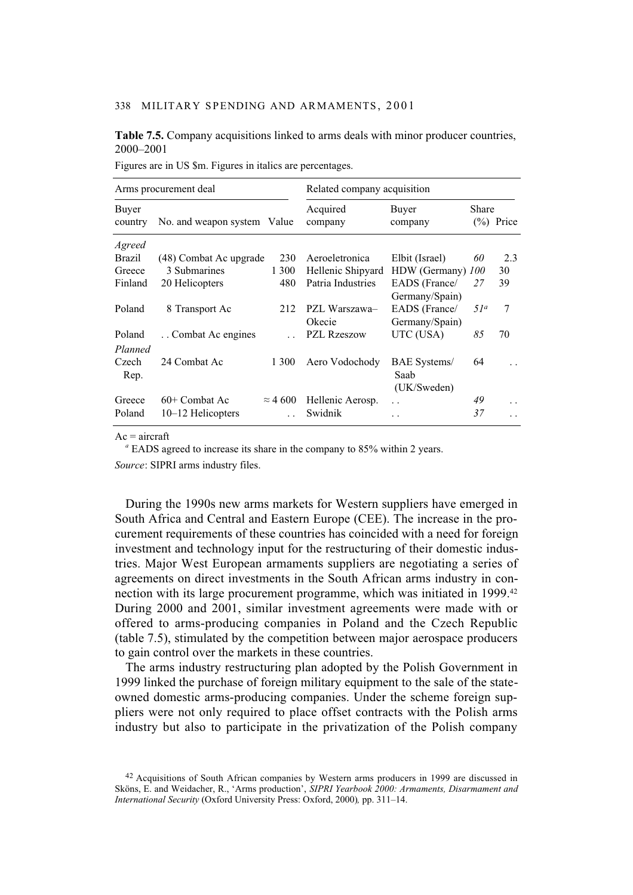## **Table 7.5.** Company acquisitions linked to arms deals with minor producer countries, 2000–2001

| Arms procurement deal |                             |                 | Related company acquisition |                      |                 |              |  |
|-----------------------|-----------------------------|-----------------|-----------------------------|----------------------|-----------------|--------------|--|
| Buyer<br>country      | No. and weapon system Value |                 | Acquired<br>company         | Buyer<br>company     | Share           | $(\%)$ Price |  |
| Agreed                |                             |                 |                             |                      |                 |              |  |
| Brazil                | (48) Combat Ac upgrade      | 230             | Aeroeletronica              | Elbit (Israel)       | 60              | 2.3          |  |
| Greece                | 3 Submarines                | 1 300           | Hellenic Shipyard           | HDW (Germany)        | <i>100</i>      | 30           |  |
| Finland               | 20 Helicopters              | 480             | Patria Industries           | EADS (France/        | 27              | 39           |  |
|                       |                             |                 |                             | Germany/Spain)       |                 |              |  |
| Poland                | 8 Transport Ac              | 212             | PZL Warszawa-               | EADS (France/        | 51 <sup>a</sup> | 7            |  |
|                       |                             |                 | Okecie                      | Germany/Spain)       |                 |              |  |
| Poland                | Combat Ac engines           |                 | PZL Rzeszow                 | UTC (USA)            | 85              | 70           |  |
| Planned               |                             |                 |                             |                      |                 |              |  |
| Czech                 | 24 Combat Ac                | 1 300           | Aero Vodochody              | <b>BAE</b> Systems/  | 64              |              |  |
| Rep.                  |                             |                 |                             | Saab                 |                 |              |  |
|                       |                             |                 |                             | (UK/Sweden)          |                 |              |  |
| Greece                | 60+ Combat Ac               | $\approx$ 4 600 | Hellenic Aerosp.            | $\ddot{\phantom{a}}$ | 49              | . .          |  |
| Poland                | 10-12 Helicopters           |                 | Swidnik                     | . .                  | 37              |              |  |
|                       |                             |                 |                             |                      |                 |              |  |

Figures are in US \$m. Figures in italics are percentages.

 $Ac = aircraft$ 

<sup>a</sup> EADS agreed to increase its share in the company to 85% within 2 years.

*Source*: SIPRI arms industry files.

During the 1990s new arms markets for Western suppliers have emerged in South Africa and Central and Eastern Europe (CEE). The increase in the procurement requirements of these countries has coincided with a need for foreign investment and technology input for the restructuring of their domestic industries. Major West European armaments suppliers are negotiating a series of agreements on direct investments in the South African arms industry in connection with its large procurement programme, which was initiated in 1999.42 During 2000 and 2001, similar investment agreements were made with or offered to arms-producing companies in Poland and the Czech Republic (table 7.5), stimulated by the competition between major aerospace producers to gain control over the markets in these countries.

The arms industry restructuring plan adopted by the Polish Government in 1999 linked the purchase of foreign military equipment to the sale of the stateowned domestic arms-producing companies. Under the scheme foreign suppliers were not only required to place offset contracts with the Polish arms industry but also to participate in the privatization of the Polish company

<sup>42</sup> Acquisitions of South African companies by Western arms producers in 1999 are discussed in Sköns, E. and Weidacher, R., 'Arms production', *SIPRI Yearbook 2000: Armaments, Disarmament and International Security* (Oxford University Press: Oxford, 2000)*,* pp. 311–14.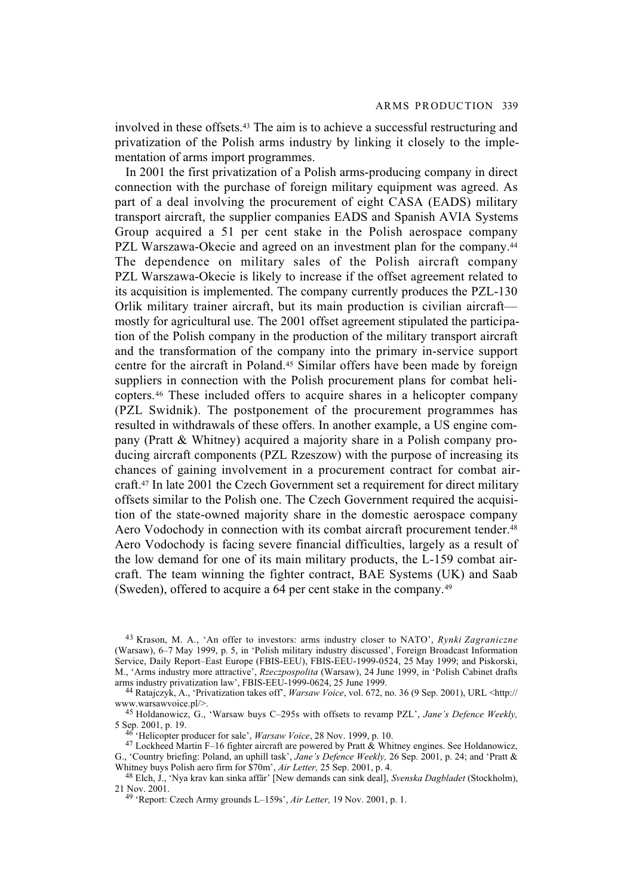involved in these offsets.43 The aim is to achieve a successful restructuring and privatization of the Polish arms industry by linking it closely to the implementation of arms import programmes.

In 2001 the first privatization of a Polish arms-producing company in direct connection with the purchase of foreign military equipment was agreed. As part of a deal involving the procurement of eight CASA (EADS) military transport aircraft, the supplier companies EADS and Spanish AVIA Systems Group acquired a 51 per cent stake in the Polish aerospace company PZL Warszawa-Okecie and agreed on an investment plan for the company.<sup>44</sup> The dependence on military sales of the Polish aircraft company PZL Warszawa-Okecie is likely to increase if the offset agreement related to its acquisition is implemented. The company currently produces the PZL-130 Orlik military trainer aircraft, but its main production is civilian aircraft mostly for agricultural use. The 2001 offset agreement stipulated the participation of the Polish company in the production of the military transport aircraft and the transformation of the company into the primary in-service support centre for the aircraft in Poland.45 Similar offers have been made by foreign suppliers in connection with the Polish procurement plans for combat helicopters.46 These included offers to acquire shares in a helicopter company (PZL Swidnik). The postponement of the procurement programmes has resulted in withdrawals of these offers. In another example, a US engine company (Pratt & Whitney) acquired a majority share in a Polish company producing aircraft components (PZL Rzeszow) with the purpose of increasing its chances of gaining involvement in a procurement contract for combat aircraft.47 In late 2001 the Czech Government set a requirement for direct military offsets similar to the Polish one. The Czech Government required the acquisition of the state-owned majority share in the domestic aerospace company Aero Vodochody in connection with its combat aircraft procurement tender.<sup>48</sup> Aero Vodochody is facing severe financial difficulties, largely as a result of the low demand for one of its main military products, the L-159 combat aircraft. The team winning the fighter contract, BAE Systems (UK) and Saab (Sweden), offered to acquire a 64 per cent stake in the company.49

<sup>43</sup> Krason, M. A., 'An offer to investors: arms industry closer to NATO', *Rynki Zagraniczne* (Warsaw), 6–7 May 1999, p. 5, in 'Polish military industry discussed', Foreign Broadcast Information Service, Daily Report–East Europe (FBIS-EEU), FBIS-EEU-1999-0524, 25 May 1999; and Piskorski, M., 'Arms industry more attractive', *Rzeczpospolita* (Warsaw), 24 June 1999, in 'Polish Cabinet drafts arms industry privatization law', FBIS-EEU-1999-0624, 25 June 1999.

<sup>44</sup> Ratajczyk, A., 'Privatization takes off', *Warsaw Voice*, vol. 672, no. 36 (9 Sep. 2001), URL <http:// www.warsawvoice.pl/>.

<sup>45</sup> Holdanowicz, G., 'Warsaw buys C–295s with offsets to revamp PZL', *Jane's Defence Weekly,* 5 Sep. 2001, p. 19.

<sup>46 &#</sup>x27;Helicopter producer for sale', *Warsaw Voice*, 28 Nov. 1999, p. 10.

<sup>&</sup>lt;sup>47</sup> Lockheed Martin F-16 fighter aircraft are powered by Pratt  $\&$  Whitney engines. See Holdanowicz, G., 'Country briefing: Poland, an uphill task', *Jane's Defence Weekly,* 26 Sep. 2001, p. 24; and 'Pratt & Whitney buys Polish aero firm for \$70m', *Air Letter,* 25 Sep. 2001, p. 4.

<sup>48</sup> Elch, J., 'Nya krav kan sinka affär' [New demands can sink deal], *Svenska Dagbladet* (Stockholm), 21 Nov. 2001.

<sup>49 &#</sup>x27;Report: Czech Army grounds L–159s', *Air Letter,* 19 Nov. 2001, p. 1.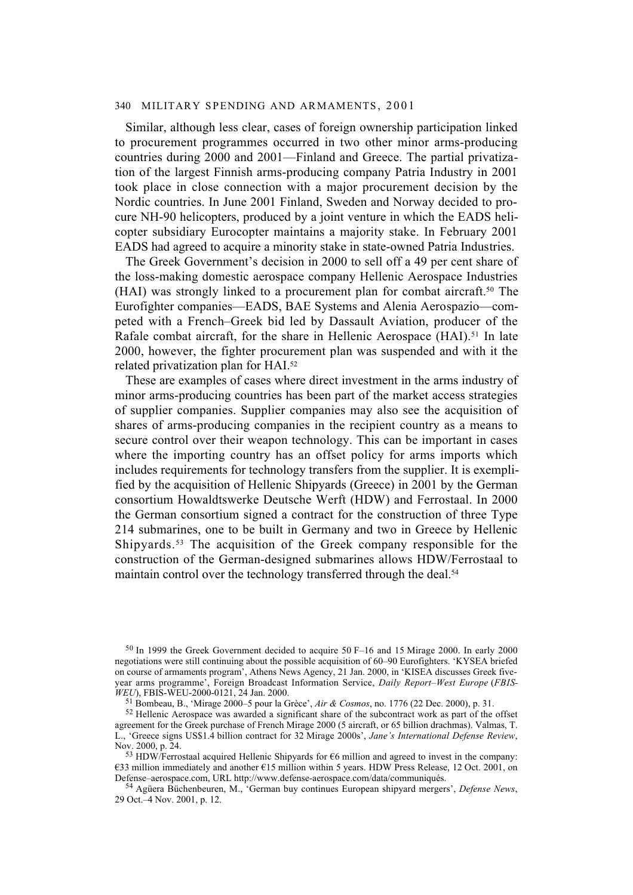Similar, although less clear, cases of foreign ownership participation linked to procurement programmes occurred in two other minor arms-producing countries during 2000 and 2001—Finland and Greece. The partial privatization of the largest Finnish arms-producing company Patria Industry in 2001 took place in close connection with a major procurement decision by the Nordic countries. In June 2001 Finland, Sweden and Norway decided to procure NH-90 helicopters, produced by a joint venture in which the EADS helicopter subsidiary Eurocopter maintains a majority stake. In February 2001 EADS had agreed to acquire a minority stake in state-owned Patria Industries.

The Greek Government's decision in 2000 to sell off a 49 per cent share of the loss-making domestic aerospace company Hellenic Aerospace Industries (HAI) was strongly linked to a procurement plan for combat aircraft.50 The Eurofighter companies—EADS, BAE Systems and Alenia Aerospazio—competed with a French–Greek bid led by Dassault Aviation, producer of the Rafale combat aircraft, for the share in Hellenic Aerospace (HAI).<sup>51</sup> In late 2000, however, the fighter procurement plan was suspended and with it the related privatization plan for HAI.52

These are examples of cases where direct investment in the arms industry of minor arms-producing countries has been part of the market access strategies of supplier companies. Supplier companies may also see the acquisition of shares of arms-producing companies in the recipient country as a means to secure control over their weapon technology. This can be important in cases where the importing country has an offset policy for arms imports which includes requirements for technology transfers from the supplier. It is exemplified by the acquisition of Hellenic Shipyards (Greece) in 2001 by the German consortium Howaldtswerke Deutsche Werft (HDW) and Ferrostaal. In 2000 the German consortium signed a contract for the construction of three Type 214 submarines, one to be built in Germany and two in Greece by Hellenic Shipyards.53 The acquisition of the Greek company responsible for the construction of the German-designed submarines allows HDW/Ferrostaal to maintain control over the technology transferred through the deal.<sup>54</sup>

51 Bombeau, B., 'Mirage 2000–5 pour la Grèce', *Air & Cosmos*, no. 1776 (22 Dec. 2000), p. 31.

<sup>50</sup> In 1999 the Greek Government decided to acquire 50 F–16 and 15 Mirage 2000. In early 2000 negotiations were still continuing about the possible acquisition of 60–90 Eurofighters. 'KYSEA briefed on course of armaments program', Athens News Agency, 21 Jan. 2000, in 'KISEA discusses Greek fiveyear arms programme', Foreign Broadcast Information Service, *Daily Report–West Europe* (*FBIS-WEU*), FBIS-WEU-2000-0121, 24 Jan. 2000.

<sup>52</sup> Hellenic Aerospace was awarded a significant share of the subcontract work as part of the offset agreement for the Greek purchase of French Mirage 2000 (5 aircraft, or 65 billion drachmas). Valmas, T. L., 'Greece signs US\$1.4 billion contract for 32 Mirage 2000s', *Jane's International Defense Review*, Nov. 2000, p. 24.

<sup>53</sup> HDW/Ferrostaal acquired Hellenic Shipyards for €6 million and agreed to invest in the company: €33 million immediately and another €15 million within 5 years. HDW Press Release, 12 Oct. 2001, on Defense–aerospace.com, URL http://www.defense-aerospace.com/data/communiqués.

<sup>54</sup> Agüera Büchenbeuren, M., 'German buy continues European shipyard mergers', *Defense News*, 29 Oct.–4 Nov. 2001, p. 12.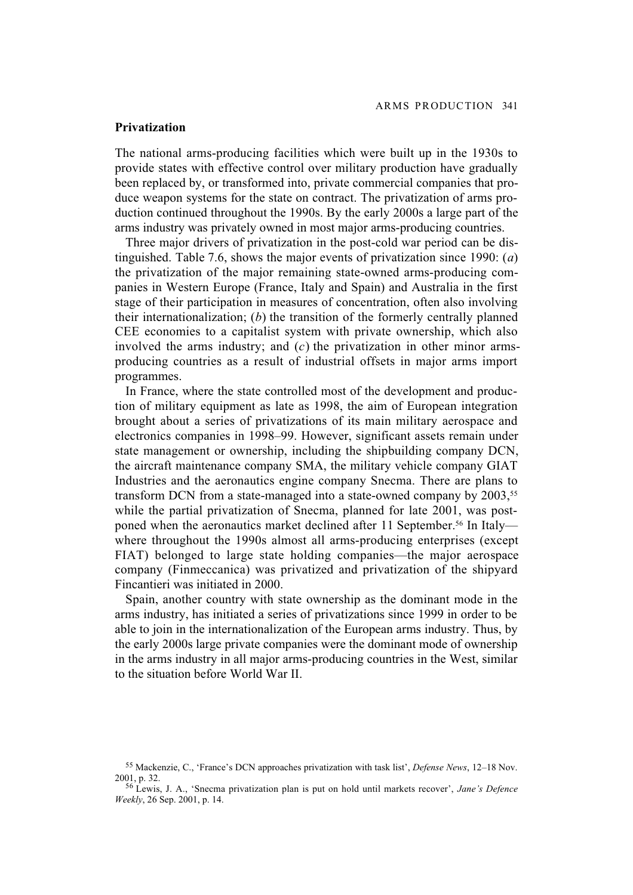# **Privatization**

The national arms-producing facilities which were built up in the 1930s to provide states with effective control over military production have gradually been replaced by, or transformed into, private commercial companies that produce weapon systems for the state on contract. The privatization of arms production continued throughout the 1990s. By the early 2000s a large part of the arms industry was privately owned in most major arms-producing countries.

Three major drivers of privatization in the post-cold war period can be distinguished. Table 7.6, shows the major events of privatization since 1990: (*a*) the privatization of the major remaining state-owned arms-producing companies in Western Europe (France, Italy and Spain) and Australia in the first stage of their participation in measures of concentration, often also involving their internationalization; (*b*) the transition of the formerly centrally planned CEE economies to a capitalist system with private ownership, which also involved the arms industry; and (*c*) the privatization in other minor armsproducing countries as a result of industrial offsets in major arms import programmes.

In France, where the state controlled most of the development and production of military equipment as late as 1998, the aim of European integration brought about a series of privatizations of its main military aerospace and electronics companies in 1998–99. However, significant assets remain under state management or ownership, including the shipbuilding company DCN, the aircraft maintenance company SMA, the military vehicle company GIAT Industries and the aeronautics engine company Snecma. There are plans to transform DCN from a state-managed into a state-owned company by 2003,<sup>55</sup> while the partial privatization of Snecma, planned for late 2001, was postponed when the aeronautics market declined after 11 September.<sup>56</sup> In Italy where throughout the 1990s almost all arms-producing enterprises (except FIAT) belonged to large state holding companies—the major aerospace company (Finmeccanica) was privatized and privatization of the shipyard Fincantieri was initiated in 2000.

Spain, another country with state ownership as the dominant mode in the arms industry, has initiated a series of privatizations since 1999 in order to be able to join in the internationalization of the European arms industry. Thus, by the early 2000s large private companies were the dominant mode of ownership in the arms industry in all major arms-producing countries in the West, similar to the situation before World War II.

<sup>55</sup> Mackenzie, C., 'France's DCN approaches privatization with task list', *Defense News*, 12–18 Nov. 2001, p. 32.

<sup>56</sup> Lewis, J. A., 'Snecma privatization plan is put on hold until markets recover', *Jane's Defence Weekly*, 26 Sep. 2001, p. 14.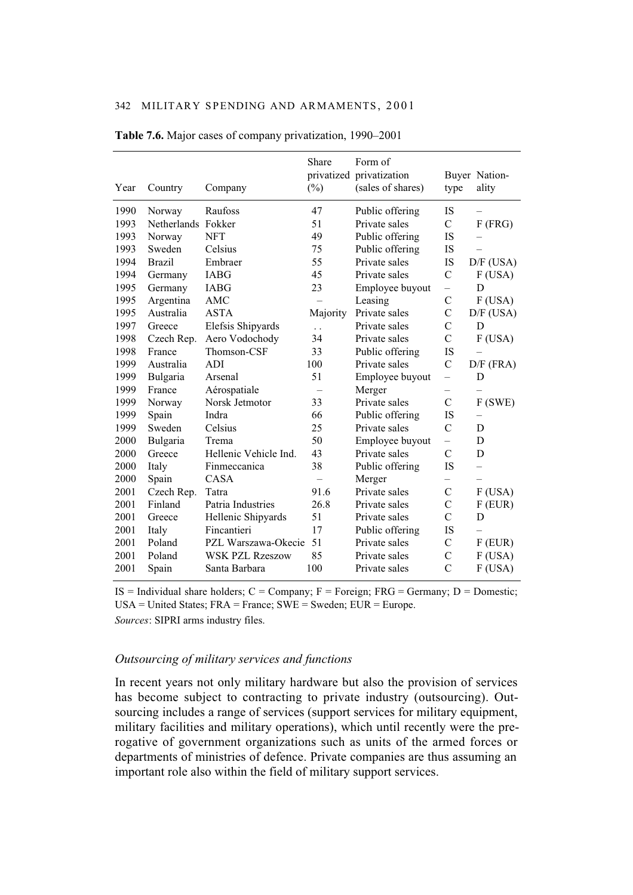| Year | Country            | Company                | Share<br>$(\%)$      | Form of<br>privatized privatization<br>(sales of shares) | type           | Buyer Nation-<br>ality |
|------|--------------------|------------------------|----------------------|----------------------------------------------------------|----------------|------------------------|
| 1990 | Norway             | Raufoss                | 47                   | Public offering                                          | <b>IS</b>      |                        |
| 1993 | Netherlands Fokker |                        | 51                   | Private sales                                            | $\mathcal{C}$  | $F$ (FRG)              |
| 1993 | Norway             | <b>NFT</b>             | 49                   | Public offering                                          | <b>IS</b>      |                        |
| 1993 | Sweden             | Celsius                | 75                   | Public offering                                          | IS             |                        |
| 1994 | <b>Brazil</b>      | Embraer                | 55                   | Private sales                                            | IS             | $D/F$ (USA)            |
| 1994 | Germany            | <b>IABG</b>            | 45                   | Private sales                                            | $\mathcal{C}$  | F(USA)                 |
| 1995 | Germany            | <b>IABG</b>            | 23                   | Employee buyout                                          |                | D                      |
| 1995 | Argentina          | AMC                    |                      | Leasing                                                  | $\mathcal{C}$  | $F$ (USA)              |
| 1995 | Australia          | <b>ASTA</b>            | Majority             | Private sales                                            | $\mathcal{C}$  | $D/F$ (USA)            |
| 1997 | Greece             | Elefsis Shipyards      | $\ddot{\phantom{0}}$ | Private sales                                            | $\mathcal{C}$  | D                      |
| 1998 | Czech Rep.         | Aero Vodochody         | 34                   | Private sales                                            | $\overline{C}$ | $F$ (USA)              |
| 1998 | France             | Thomson-CSF            | 33                   | Public offering                                          | IS             |                        |
| 1999 | Australia          | <b>ADI</b>             | 100                  | Private sales                                            | $\mathcal{C}$  | $D/F$ (FRA)            |
| 1999 | Bulgaria           | Arsenal                | 51                   | Employee buyout                                          | $\equiv$       | D                      |
| 1999 | France             | Aérospatiale           |                      | Merger                                                   |                |                        |
| 1999 | Norway             | Norsk Jetmotor         | 33                   | Private sales                                            | $\mathcal{C}$  | F(SWE)                 |
| 1999 | Spain              | Indra                  | 66                   | Public offering                                          | <b>IS</b>      |                        |
| 1999 | Sweden             | Celsius                | 25                   | Private sales                                            | $\mathcal{C}$  | D                      |
| 2000 | Bulgaria           | Trema                  | 50                   | Employee buyout                                          | $\equiv$       | D                      |
| 2000 | Greece             | Hellenic Vehicle Ind.  | 43                   | Private sales                                            | C              | D                      |
| 2000 | Italy              | Finmeccanica           | 38                   | Public offering                                          | IS             | $\equiv$               |
| 2000 | Spain              | CASA                   |                      | Merger                                                   |                |                        |
| 2001 | Czech Rep.         | Tatra                  | 91.6                 | Private sales                                            | $\mathcal{C}$  | F(USA)                 |
| 2001 | Finland            | Patria Industries      | 26.8                 | Private sales                                            | C              | $F$ (EUR)              |
| 2001 | Greece             | Hellenic Shipyards     | 51                   | Private sales                                            | $\overline{C}$ | D                      |
| 2001 | Italy              | Fincantieri            | 17                   | Public offering                                          | <b>IS</b>      |                        |
| 2001 | Poland             | PZL Warszawa-Okecie    | 51                   | Private sales                                            | $\mathcal{C}$  | $F$ (EUR)              |
| 2001 | Poland             | <b>WSK PZL Rzeszow</b> | 85                   | Private sales                                            | $\mathcal{C}$  | $F$ (USA)              |
| 2001 | Spain              | Santa Barbara          | 100                  | Private sales                                            | $\overline{C}$ | F(USA)                 |

**Table 7.6.** Major cases of company privatization, 1990–2001

IS = Individual share holders;  $C =$  Company;  $F =$  Foreign; FRG = Germany;  $D =$  Domestic; USA = United States;  $FRA = France$ ;  $SWE = Sweden$ ;  $EUR = Europe$ . *Sources*: SIPRI arms industry files.

## *Outsourcing of military services and functions*

In recent years not only military hardware but also the provision of services has become subject to contracting to private industry (outsourcing). Outsourcing includes a range of services (support services for military equipment, military facilities and military operations), which until recently were the prerogative of government organizations such as units of the armed forces or departments of ministries of defence. Private companies are thus assuming an important role also within the field of military support services.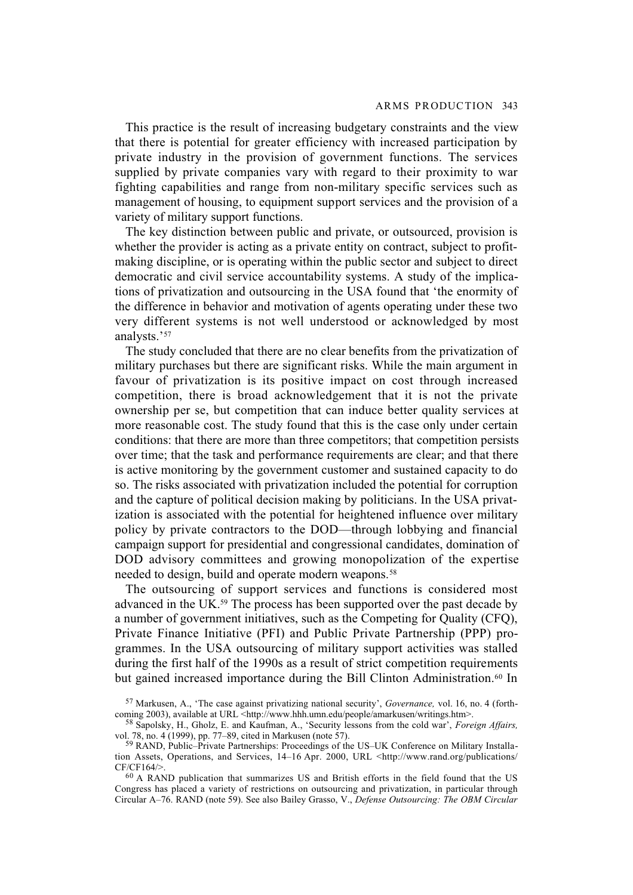This practice is the result of increasing budgetary constraints and the view that there is potential for greater efficiency with increased participation by private industry in the provision of government functions. The services supplied by private companies vary with regard to their proximity to war fighting capabilities and range from non-military specific services such as management of housing, to equipment support services and the provision of a variety of military support functions.

The key distinction between public and private, or outsourced, provision is whether the provider is acting as a private entity on contract, subject to profitmaking discipline, or is operating within the public sector and subject to direct democratic and civil service accountability systems. A study of the implications of privatization and outsourcing in the USA found that 'the enormity of the difference in behavior and motivation of agents operating under these two very different systems is not well understood or acknowledged by most analysts.'57

The study concluded that there are no clear benefits from the privatization of military purchases but there are significant risks. While the main argument in favour of privatization is its positive impact on cost through increased competition, there is broad acknowledgement that it is not the private ownership per se, but competition that can induce better quality services at more reasonable cost. The study found that this is the case only under certain conditions: that there are more than three competitors; that competition persists over time; that the task and performance requirements are clear; and that there is active monitoring by the government customer and sustained capacity to do so. The risks associated with privatization included the potential for corruption and the capture of political decision making by politicians. In the USA privatization is associated with the potential for heightened influence over military policy by private contractors to the DOD—through lobbying and financial campaign support for presidential and congressional candidates, domination of DOD advisory committees and growing monopolization of the expertise needed to design, build and operate modern weapons.58

The outsourcing of support services and functions is considered most advanced in the UK.59 The process has been supported over the past decade by a number of government initiatives, such as the Competing for Quality (CFQ), Private Finance Initiative (PFI) and Public Private Partnership (PPP) programmes. In the USA outsourcing of military support activities was stalled during the first half of the 1990s as a result of strict competition requirements but gained increased importance during the Bill Clinton Administration.<sup>60</sup> In

<sup>57</sup> Markusen, A., 'The case against privatizing national security', *Governance,* vol. 16, no. 4 (forthcoming 2003), available at URL <http://www.hhh.umn.edu/people/amarkusen/writings.htm>.

<sup>58</sup> Sapolsky, H., Gholz, E. and Kaufman, A., 'Security lessons from the cold war', *Foreign Affairs,* vol. 78, no. 4 (1999), pp. 77–89, cited in Markusen (note 57).

<sup>59</sup> RAND, Public–Private Partnerships: Proceedings of the US–UK Conference on Military Installation Assets, Operations, and Services, 14-16 Apr. 2000, URL <http://www.rand.org/publications/ CF/CF164/>.

<sup>60</sup> A RAND publication that summarizes US and British efforts in the field found that the US Congress has placed a variety of restrictions on outsourcing and privatization, in particular through Circular A–76. RAND (note 59). See also Bailey Grasso, V., *Defense Outsourcing: The OBM Circular*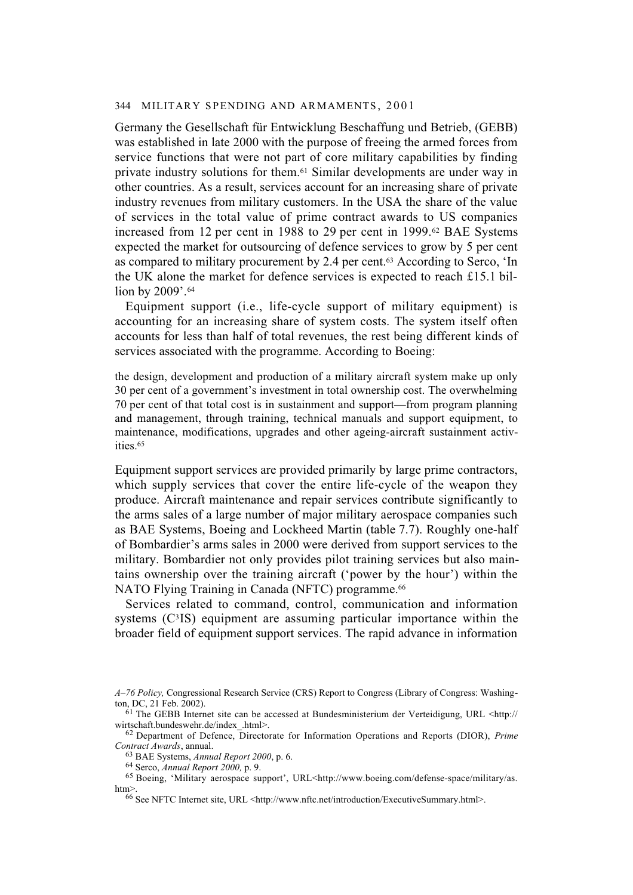Germany the Gesellschaft für Entwicklung Beschaffung und Betrieb, (GEBB) was established in late 2000 with the purpose of freeing the armed forces from service functions that were not part of core military capabilities by finding private industry solutions for them.61 Similar developments are under way in other countries. As a result, services account for an increasing share of private industry revenues from military customers. In the USA the share of the value of services in the total value of prime contract awards to US companies increased from 12 per cent in 1988 to 29 per cent in 1999.62 BAE Systems expected the market for outsourcing of defence services to grow by 5 per cent as compared to military procurement by 2.4 per cent.63 According to Serco, 'In the UK alone the market for defence services is expected to reach £15.1 billion by 2009'.<sup>64</sup>

Equipment support (i.e., life-cycle support of military equipment) is accounting for an increasing share of system costs. The system itself often accounts for less than half of total revenues, the rest being different kinds of services associated with the programme. According to Boeing:

the design, development and production of a military aircraft system make up only 30 per cent of a government's investment in total ownership cost. The overwhelming 70 per cent of that total cost is in sustainment and support—from program planning and management, through training, technical manuals and support equipment, to maintenance, modifications, upgrades and other ageing-aircraft sustainment activities.65

Equipment support services are provided primarily by large prime contractors, which supply services that cover the entire life-cycle of the weapon they produce. Aircraft maintenance and repair services contribute significantly to the arms sales of a large number of major military aerospace companies such as BAE Systems, Boeing and Lockheed Martin (table 7.7). Roughly one-half of Bombardier's arms sales in 2000 were derived from support services to the military. Bombardier not only provides pilot training services but also maintains ownership over the training aircraft ('power by the hour') within the NATO Flying Training in Canada (NFTC) programme.<sup>66</sup>

Services related to command, control, communication and information systems (C<sup>3</sup>IS) equipment are assuming particular importance within the broader field of equipment support services. The rapid advance in information

64 Serco, *Annual Report 2000,* p. 9.

*A–76 Policy,* Congressional Research Service (CRS) Report to Congress (Library of Congress: Washington, DC, 21 Feb. 2002).

 $\frac{61}{61}$  The GEBB Internet site can be accessed at Bundesministerium der Verteidigung, URL <http:// wirtschaft.bundeswehr.de/index\_.html>.

<sup>62</sup> Department of Defence, Directorate for Information Operations and Reports (DIOR), *Prime Contract Awards*, annual.

<sup>63</sup> BAE Systems, *Annual Report 2000*, p. 6.

<sup>&</sup>lt;sup>65</sup> Boeing, 'Military aerospace support', URL<http://www.boeing.com/defense-space/military/as. htm>.

<sup>66</sup> See NFTC Internet site, URL <http://www.nftc.net/introduction/ExecutiveSummary.html>.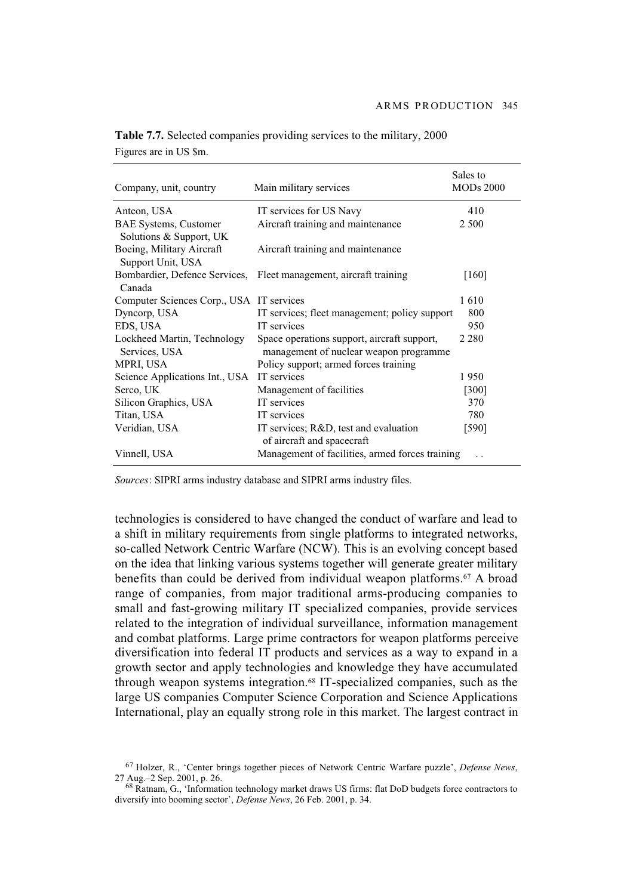| Company, unit, country                   | Main military services                                              | Sales to<br><b>MODs 2000</b> |
|------------------------------------------|---------------------------------------------------------------------|------------------------------|
| Anteon, USA                              | IT services for US Navy                                             | 410                          |
| <b>BAE Systems, Customer</b>             | Aircraft training and maintenance                                   | 2 500                        |
| Solutions & Support, UK                  |                                                                     |                              |
| Boeing, Military Aircraft                | Aircraft training and maintenance                                   |                              |
| Support Unit, USA                        |                                                                     |                              |
|                                          | Bombardier, Defence Services, Fleet management, aircraft training   | [160]                        |
| Canada                                   |                                                                     |                              |
| Computer Sciences Corp., USA IT services |                                                                     | 1610                         |
| Dyncorp, USA                             | IT services; fleet management; policy support                       | 800                          |
| EDS, USA                                 | IT services                                                         | 950                          |
| Lockheed Martin, Technology              | Space operations support, aircraft support,                         | 2 2 8 0                      |
| Services, USA                            | management of nuclear weapon programme                              |                              |
| MPRI, USA                                | Policy support; armed forces training                               |                              |
| Science Applications Int., USA           | IT services                                                         | 1950                         |
| Serco, UK                                | Management of facilities                                            | $[300]$                      |
| Silicon Graphics, USA                    | IT services                                                         | 370                          |
| Titan, USA                               | IT services                                                         | 780                          |
| Veridian, USA                            | IT services; R&D, test and evaluation<br>of aircraft and spacecraft | $[590]$                      |
| Vinnell, USA                             | Management of facilities, armed forces training                     |                              |

**Table 7.7.** Selected companies providing services to the military, 2000 Figures are in US \$m.

*Sources*: SIPRI arms industry database and SIPRI arms industry files.

technologies is considered to have changed the conduct of warfare and lead to a shift in military requirements from single platforms to integrated networks, so-called Network Centric Warfare (NCW). This is an evolving concept based on the idea that linking various systems together will generate greater military benefits than could be derived from individual weapon platforms.67 A broad range of companies, from major traditional arms-producing companies to small and fast-growing military IT specialized companies, provide services related to the integration of individual surveillance, information management and combat platforms. Large prime contractors for weapon platforms perceive diversification into federal IT products and services as a way to expand in a growth sector and apply technologies and knowledge they have accumulated through weapon systems integration.68 IT-specialized companies, such as the large US companies Computer Science Corporation and Science Applications International, play an equally strong role in this market. The largest contract in

<sup>67</sup> Holzer, R., 'Center brings together pieces of Network Centric Warfare puzzle', *Defense News*, 27 Aug.–2 Sep. 2001, p. 26.

<sup>68</sup> Ratnam, G., 'Information technology market draws US firms: flat DoD budgets force contractors to diversify into booming sector', *Defense News*, 26 Feb. 2001, p. 34.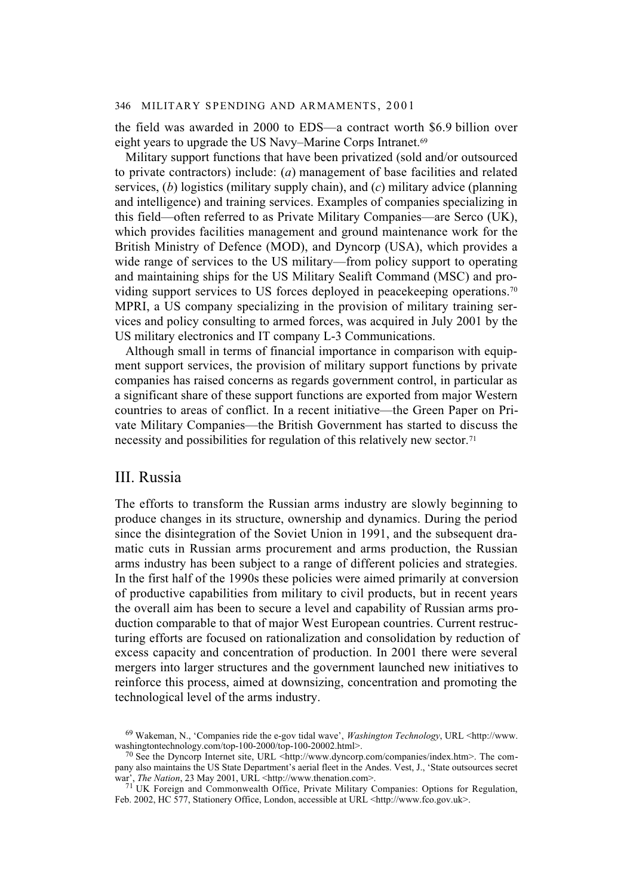the field was awarded in 2000 to EDS—a contract worth \$6.9 billion over eight years to upgrade the US Navy–Marine Corps Intranet.<sup>69</sup>

Military support functions that have been privatized (sold and/or outsourced to private contractors) include: (*a*) management of base facilities and related services, (*b*) logistics (military supply chain), and (*c*) military advice (planning and intelligence) and training services. Examples of companies specializing in this field—often referred to as Private Military Companies—are Serco (UK), which provides facilities management and ground maintenance work for the British Ministry of Defence (MOD), and Dyncorp (USA), which provides a wide range of services to the US military—from policy support to operating and maintaining ships for the US Military Sealift Command (MSC) and providing support services to US forces deployed in peacekeeping operations.70 MPRI, a US company specializing in the provision of military training services and policy consulting to armed forces, was acquired in July 2001 by the US military electronics and IT company L-3 Communications.

Although small in terms of financial importance in comparison with equipment support services, the provision of military support functions by private companies has raised concerns as regards government control, in particular as a significant share of these support functions are exported from major Western countries to areas of conflict. In a recent initiative—the Green Paper on Private Military Companies—the British Government has started to discuss the necessity and possibilities for regulation of this relatively new sector.71

# III. Russia

The efforts to transform the Russian arms industry are slowly beginning to produce changes in its structure, ownership and dynamics. During the period since the disintegration of the Soviet Union in 1991, and the subsequent dramatic cuts in Russian arms procurement and arms production, the Russian arms industry has been subject to a range of different policies and strategies. In the first half of the 1990s these policies were aimed primarily at conversion of productive capabilities from military to civil products, but in recent years the overall aim has been to secure a level and capability of Russian arms production comparable to that of major West European countries. Current restructuring efforts are focused on rationalization and consolidation by reduction of excess capacity and concentration of production. In 2001 there were several mergers into larger structures and the government launched new initiatives to reinforce this process, aimed at downsizing, concentration and promoting the technological level of the arms industry.

<sup>69</sup> Wakeman, N., 'Companies ride the e-gov tidal wave', *Washington Technology*, URL <http://www. washingtontechnology.com/top-100-2000/top-100-20002.html>.

<sup>70</sup> See the Dyncorp Internet site, URL <http://www.dyncorp.com/companies/index.htm>. The company also maintains the US State Department's aerial fleet in the Andes. Vest, J., 'State outsources secret war', *The Nation*, 23 May 2001, URL <http://www.thenation.com>.

<sup>71</sup> UK Foreign and Commonwealth Office, Private Military Companies: Options for Regulation, Feb. 2002, HC 577, Stationery Office, London, accessible at URL <http://www.fco.gov.uk>.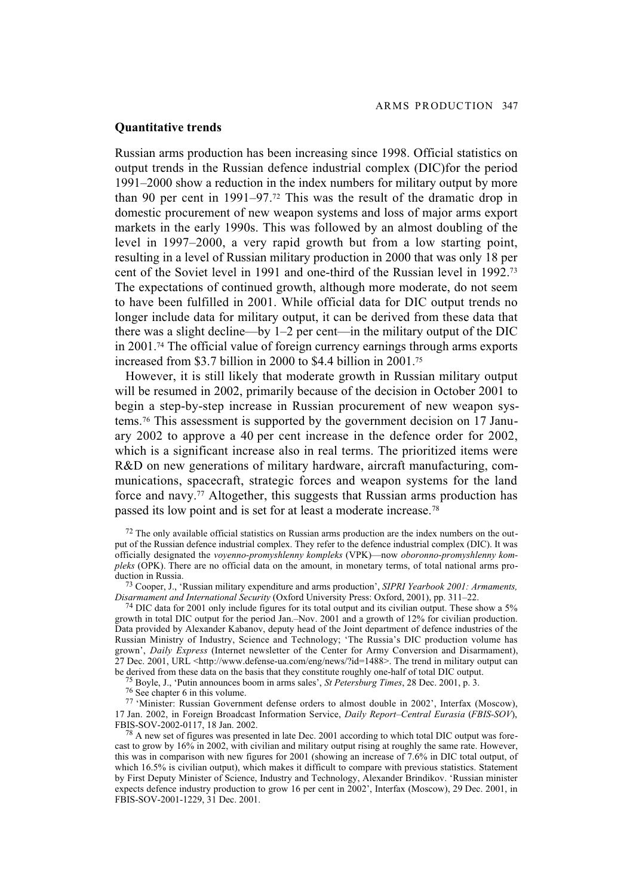# **Quantitative trends**

Russian arms production has been increasing since 1998. Official statistics on output trends in the Russian defence industrial complex (DIC)for the period 1991–2000 show a reduction in the index numbers for military output by more than 90 per cent in 1991–97.72 This was the result of the dramatic drop in domestic procurement of new weapon systems and loss of major arms export markets in the early 1990s. This was followed by an almost doubling of the level in 1997–2000, a very rapid growth but from a low starting point, resulting in a level of Russian military production in 2000 that was only 18 per cent of the Soviet level in 1991 and one-third of the Russian level in 1992.73 The expectations of continued growth, although more moderate, do not seem to have been fulfilled in 2001. While official data for DIC output trends no longer include data for military output, it can be derived from these data that there was a slight decline—by  $1-2$  per cent—in the military output of the DIC in 2001.74 The official value of foreign currency earnings through arms exports increased from \$3.7 billion in 2000 to \$4.4 billion in 2001.75

However, it is still likely that moderate growth in Russian military output will be resumed in 2002, primarily because of the decision in October 2001 to begin a step-by-step increase in Russian procurement of new weapon systems.76 This assessment is supported by the government decision on 17 January 2002 to approve a 40 per cent increase in the defence order for 2002, which is a significant increase also in real terms. The prioritized items were R&D on new generations of military hardware, aircraft manufacturing, communications, spacecraft, strategic forces and weapon systems for the land force and navy.77 Altogether, this suggests that Russian arms production has passed its low point and is set for at least a moderate increase.78

75 Boyle, J., 'Putin announces boom in arms sales', *St Petersburg Times*, 28 Dec. 2001, p. 3.

76 See chapter 6 in this volume.

77 'Minister: Russian Government defense orders to almost double in 2002', Interfax (Moscow), 17 Jan. 2002, in Foreign Broadcast Information Service, *Daily Report–Central Eurasia* (*FBIS-SOV*), FBIS-SOV-2002-0117, 18 Jan. 2002.

 $<sup>72</sup>$  The only available official statistics on Russian arms production are the index numbers on the out-</sup> put of the Russian defence industrial complex. They refer to the defence industrial complex (DIC). It was officially designated the *voyenno-promyshlenny kompleks* (VPK)—now *oboronno-promyshlenny kompleks* (OPK). There are no official data on the amount, in monetary terms, of total national arms production in Russia.

<sup>73</sup> Cooper, J., 'Russian military expenditure and arms production', *SIPRI Yearbook 2001: Armaments, Disarmament and International Security* (Oxford University Press: Oxford, 2001), pp. 311–22.

 $74$  DIC data for 2001 only include figures for its total output and its civilian output. These show a 5% growth in total DIC output for the period Jan.–Nov. 2001 and a growth of 12% for civilian production. Data provided by Alexander Kabanov, deputy head of the Joint department of defence industries of the Russian Ministry of Industry, Science and Technology; 'The Russia's DIC production volume has grown', *Daily Express* (Internet newsletter of the Center for Army Conversion and Disarmament), 27 Dec. 2001, URL <http://www.defense-ua.com/eng/news/?id=1488>. The trend in military output can be derived from these data on the basis that they constitute roughly one-half of total DIC output.

 $^{78}$  A new set of figures was presented in late Dec. 2001 according to which total DIC output was forecast to grow by 16% in 2002, with civilian and military output rising at roughly the same rate. However, this was in comparison with new figures for 2001 (showing an increase of 7.6% in DIC total output, of which 16.5% is civilian output), which makes it difficult to compare with previous statistics. Statement by First Deputy Minister of Science, Industry and Technology, Alexander Brindikov. 'Russian minister expects defence industry production to grow 16 per cent in 2002', Interfax (Moscow), 29 Dec. 2001, in FBIS-SOV-2001-1229, 31 Dec. 2001.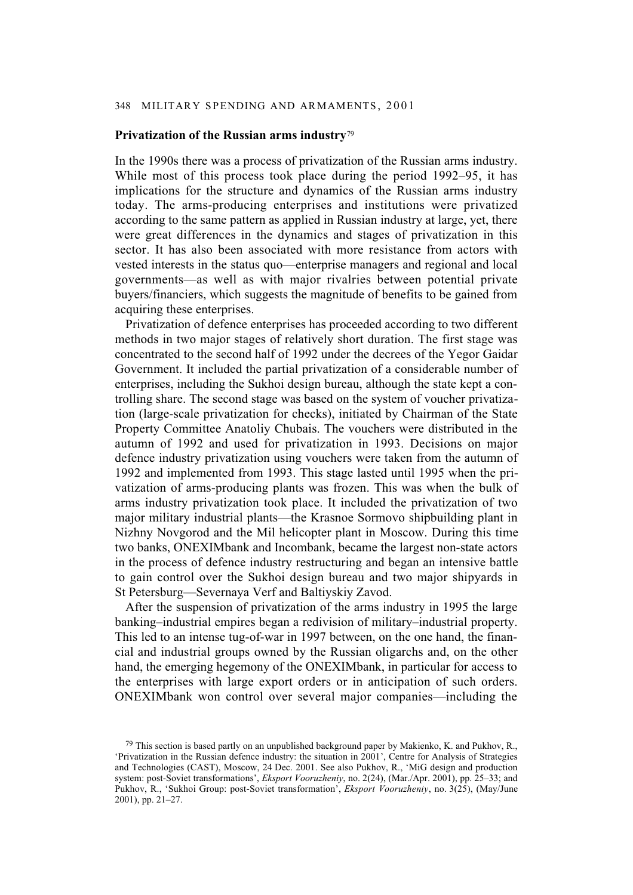# **Privatization of the Russian arms industry**<sup>79</sup>

In the 1990s there was a process of privatization of the Russian arms industry. While most of this process took place during the period 1992–95, it has implications for the structure and dynamics of the Russian arms industry today. The arms-producing enterprises and institutions were privatized according to the same pattern as applied in Russian industry at large, yet, there were great differences in the dynamics and stages of privatization in this sector. It has also been associated with more resistance from actors with vested interests in the status quo—enterprise managers and regional and local governments—as well as with major rivalries between potential private buyers/financiers, which suggests the magnitude of benefits to be gained from acquiring these enterprises.

Privatization of defence enterprises has proceeded according to two different methods in two major stages of relatively short duration. The first stage was concentrated to the second half of 1992 under the decrees of the Yegor Gaidar Government. It included the partial privatization of a considerable number of enterprises, including the Sukhoi design bureau, although the state kept a controlling share. The second stage was based on the system of voucher privatization (large-scale privatization for checks), initiated by Chairman of the State Property Committee Anatoliy Chubais. The vouchers were distributed in the autumn of 1992 and used for privatization in 1993. Decisions on major defence industry privatization using vouchers were taken from the autumn of 1992 and implemented from 1993. This stage lasted until 1995 when the privatization of arms-producing plants was frozen. This was when the bulk of arms industry privatization took place. It included the privatization of two major military industrial plants—the Krasnoe Sormovo shipbuilding plant in Nizhny Novgorod and the Mil helicopter plant in Moscow. During this time two banks, ONEXIMbank and Incombank, became the largest non-state actors in the process of defence industry restructuring and began an intensive battle to gain control over the Sukhoi design bureau and two major shipyards in St Petersburg—Severnaya Verf and Baltiyskiy Zavod.

After the suspension of privatization of the arms industry in 1995 the large banking–industrial empires began a redivision of military–industrial property. This led to an intense tug-of-war in 1997 between, on the one hand, the financial and industrial groups owned by the Russian oligarchs and, on the other hand, the emerging hegemony of the ONEXIMbank, in particular for access to the enterprises with large export orders or in anticipation of such orders. ONEXIMbank won control over several major companies—including the

<sup>&</sup>lt;sup>79</sup> This section is based partly on an unpublished background paper by Makienko, K. and Pukhov, R., 'Privatization in the Russian defence industry: the situation in 2001', Centre for Analysis of Strategies and Technologies (CAST), Moscow, 24 Dec. 2001. See also Pukhov, R., 'MiG design and production system: post-Soviet transformations', *Eksport Vooruzheniy*, no. 2(24), (Mar./Apr. 2001), pp. 25–33; and Pukhov, R., 'Sukhoi Group: post-Soviet transformation', *Eksport Vooruzheniy*, no. 3(25), (May/June 2001), pp. 21–27.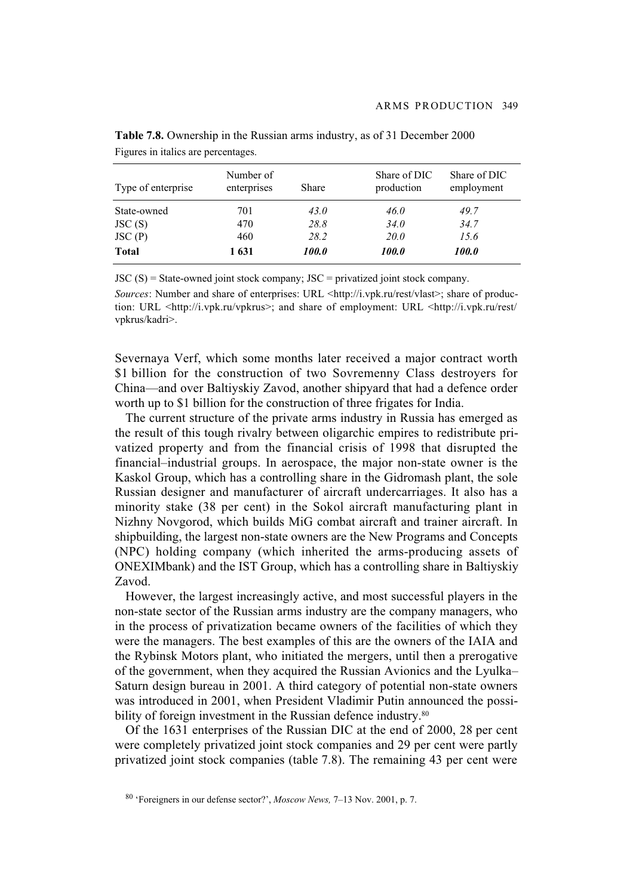| Type of enterprise | Number of<br>enterprises | <b>Share</b> | Share of DIC<br>production | Share of DIC<br>employment |
|--------------------|--------------------------|--------------|----------------------------|----------------------------|
| State-owned        | 701                      | 43.0         | 46.0                       | 49.7                       |
| JSC(S)             | 470                      | 28.8         | 34.0                       | 34.7                       |
| JSC(P)             | 460                      | 28.2         | <i>20.0</i>                | 15.6                       |
| <b>Total</b>       | 1631                     | <i>100.0</i> | <i>100.0</i>               | <i><b>100.0</b></i>        |

**Table 7.8.** Ownership in the Russian arms industry, as of 31 December 2000 Figures in italics are percentages.

 $JSC(S) = State-ovned joint stock company$ ;  $JSC = privatized joint stock company$ .

*Sources*: Number and share of enterprises: URL <http://i.vpk.ru/rest/vlast>; share of production: URL <http://i.vpk.ru/vpkrus>; and share of employment: URL <http://i.vpk.ru/rest/ vpkrus/kadri>.

Severnaya Verf, which some months later received a major contract worth \$1 billion for the construction of two Sovremenny Class destroyers for China—and over Baltiyskiy Zavod, another shipyard that had a defence order worth up to \$1 billion for the construction of three frigates for India.

The current structure of the private arms industry in Russia has emerged as the result of this tough rivalry between oligarchic empires to redistribute privatized property and from the financial crisis of 1998 that disrupted the financial–industrial groups. In aerospace, the major non-state owner is the Kaskol Group, which has a controlling share in the Gidromash plant, the sole Russian designer and manufacturer of aircraft undercarriages. It also has a minority stake (38 per cent) in the Sokol aircraft manufacturing plant in Nizhny Novgorod, which builds MiG combat aircraft and trainer aircraft. In shipbuilding, the largest non-state owners are the New Programs and Concepts (NPC) holding company (which inherited the arms-producing assets of ONEXIMbank) and the IST Group, which has a controlling share in Baltiyskiy Zavod.

However, the largest increasingly active, and most successful players in the non-state sector of the Russian arms industry are the company managers, who in the process of privatization became owners of the facilities of which they were the managers. The best examples of this are the owners of the IAIA and the Rybinsk Motors plant, who initiated the mergers, until then a prerogative of the government, when they acquired the Russian Avionics and the Lyulka– Saturn design bureau in 2001. A third category of potential non-state owners was introduced in 2001, when President Vladimir Putin announced the possibility of foreign investment in the Russian defence industry.<sup>80</sup>

Of the 1631 enterprises of the Russian DIC at the end of 2000, 28 per cent were completely privatized joint stock companies and 29 per cent were partly privatized joint stock companies (table 7.8). The remaining 43 per cent were

<sup>80 &#</sup>x27;Foreigners in our defense sector?', *Moscow News,* 7–13 Nov. 2001, p. 7.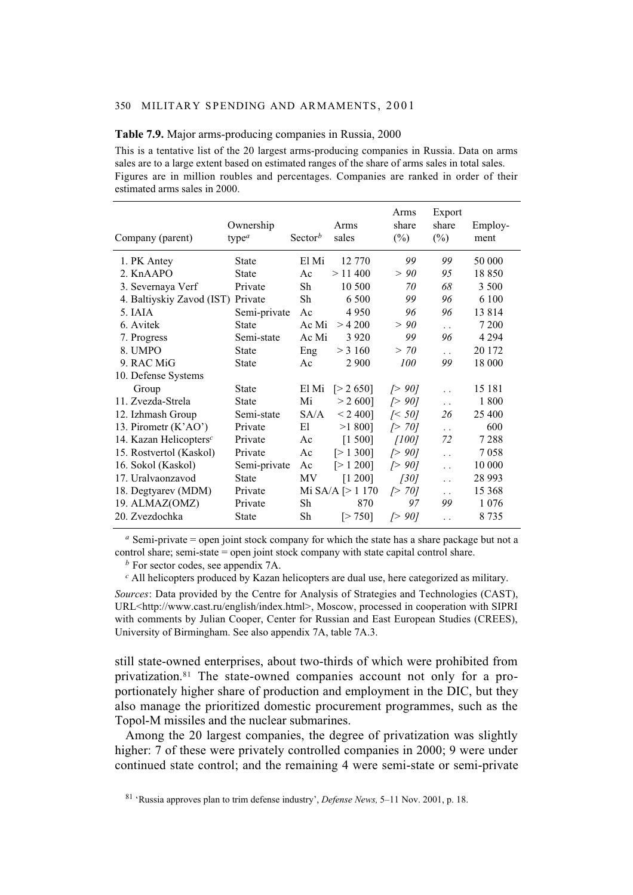#### **Table 7.9.** Major arms-producing companies in Russia, 2000

This is a tentative list of the 20 largest arms-producing companies in Russia. Data on arms sales are to a large extent based on estimated ranges of the share of arms sales in total sales. Figures are in million roubles and percentages. Companies are ranked in order of their estimated arms sales in 2000.

| Company (parent)          | Ownership<br>type $a$ | Sector <sup>b</sup> | Arms<br>sales            | Arms<br>share<br>$(\%)$ | Export<br>share<br>$(\%)$ | Employ-<br>ment |
|---------------------------|-----------------------|---------------------|--------------------------|-------------------------|---------------------------|-----------------|
| 1. PK Antey               | <b>State</b>          | El Mi               | 12 770                   | 99                      | 99                        | 50 000          |
| 2. KnAAPO                 | <b>State</b>          | Ac                  | $>$ 11 400               | > 90                    | 95                        | 18850           |
| 3. Severnaya Verf         | Private               | Sh                  | 10 500                   | 70                      | 68                        | 3 500           |
| 4. Baltiyskiy Zavod (IST) | Private               | Sh                  | 6 500                    | 99                      | 96                        | 6 100           |
| 5. IAIA                   | Semi-private          | Ac                  | 4 9 5 0                  | 96                      | 96                        | 13814           |
| 6. Avitek                 | <b>State</b>          | Ac Mi               | > 4200                   | > 90                    | $\ddot{\phantom{a}}$      | 7 200           |
| 7. Progress               | Semi-state            | Ac Mi               | 3 9 2 0                  | 99                      | 96                        | 4 2 9 4         |
| 8. UMPO                   | <b>State</b>          | Eng                 | $>$ 3 160                | > 70                    | $\ddot{\phantom{0}}$      | 20 172          |
| 9. RAC MiG                | <b>State</b>          | Ac                  | 2 900                    | 100                     | 99                        | 18 000          |
| 10. Defense Systems       |                       |                     |                          |                         |                           |                 |
| Group                     | <b>State</b>          | El Mi               | [> 2, 650]               | $\triangleright$ 90]    | $\ddot{\phantom{a}}$      | 15 181          |
| 11. Zvezda-Strela         | <b>State</b>          | Mi                  | $> 2,600$ ]              | $\triangleright$ 90]    | $\ddot{\phantom{a}}$      | 1800            |
| 12. Izhmash Group         | Semi-state            | SA/A                | $< 2400$ ]               | $\sqrt{50}$             | 26                        | 25 400          |
| 13. Pirometr (K'AO')      | Private               | Εl                  | $>1800$ ]                | $\triangleright$ 70]    | $\ddotsc$                 | 600             |
| 14. Kazan Helicopters $c$ | Private               | Ac                  | [1 500]                  | [100]                   | 72                        | 7 2 8 8         |
| 15. Rostvertol (Kaskol)   | Private               | Ac                  | [>1, 300]                | $\Gamma$ 90]            | $\ddot{\phantom{a}}$      | 7058            |
| 16. Sokol (Kaskol)        | Semi-private          | Ac                  | [>1 200]                 | $\Gamma$ 90]            | $\ddot{\phantom{a}}$      | 10 000          |
| 17. Uralvaonzavod         | <b>State</b>          | MV                  | [1 200]                  | [30]                    | $\ddot{\phantom{a}}$      | 28 9 93         |
| 18. Degtyarev (MDM)       | Private               |                     | Mi SA/A $\lceil$ > 1 170 | $\triangleright$ 70]    | $\ddot{\phantom{0}}$      | 15 368          |
| 19. ALMAZ(OMZ)            | Private               | Sh                  | 870                      | 97                      | 99                        | 1 0 7 6         |
| 20. Zvezdochka            | <b>State</b>          | Sh                  | [> 750]                  | $\sqrt{}90$             | . .                       | 8 7 3 5         |

*<sup>a</sup>* Semi-private = open joint stock company for which the state has a share package but not a control share; semi-state = open joint stock company with state capital control share.

*<sup>b</sup>* For sector codes, see appendix 7A.

*<sup>c</sup>* All helicopters produced by Kazan helicopters are dual use, here categorized as military.

*Sources*: Data provided by the Centre for Analysis of Strategies and Technologies (CAST), URL<http://www.cast.ru/english/index.html>, Moscow, processed in cooperation with SIPRI with comments by Julian Cooper, Center for Russian and East European Studies (CREES), University of Birmingham. See also appendix 7A, table 7A.3.

still state-owned enterprises, about two-thirds of which were prohibited from privatization.81 The state-owned companies account not only for a proportionately higher share of production and employment in the DIC, but they also manage the prioritized domestic procurement programmes, such as the Topol-M missiles and the nuclear submarines.

Among the 20 largest companies, the degree of privatization was slightly higher: 7 of these were privately controlled companies in 2000; 9 were under continued state control; and the remaining 4 were semi-state or semi-private

<sup>81 &#</sup>x27;Russia approves plan to trim defense industry', *Defense News,* 5–11 Nov. 2001, p. 18.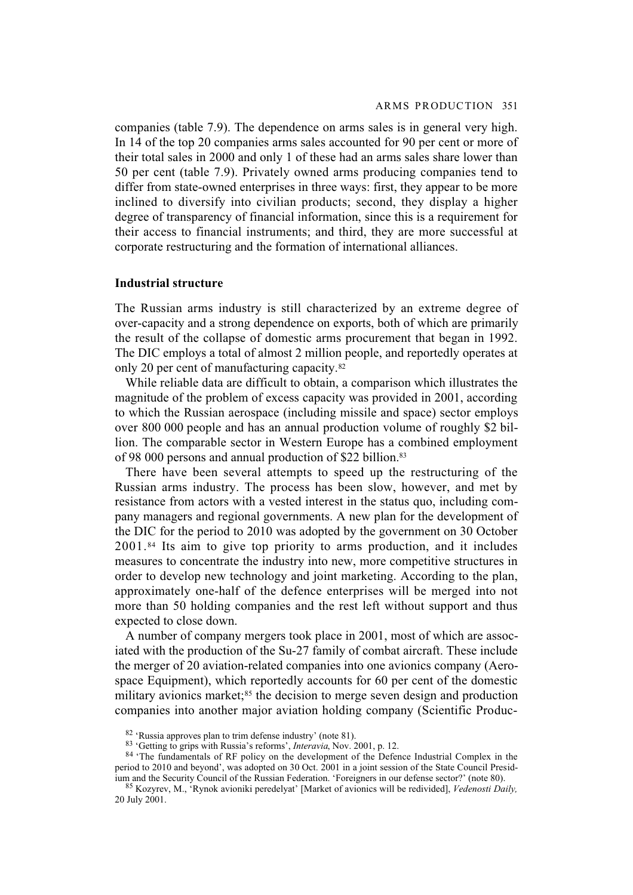companies (table 7.9). The dependence on arms sales is in general very high. In 14 of the top 20 companies arms sales accounted for 90 per cent or more of their total sales in 2000 and only 1 of these had an arms sales share lower than 50 per cent (table 7.9). Privately owned arms producing companies tend to differ from state-owned enterprises in three ways: first, they appear to be more inclined to diversify into civilian products; second, they display a higher degree of transparency of financial information, since this is a requirement for their access to financial instruments; and third, they are more successful at corporate restructuring and the formation of international alliances.

## **Industrial structure**

The Russian arms industry is still characterized by an extreme degree of over-capacity and a strong dependence on exports, both of which are primarily the result of the collapse of domestic arms procurement that began in 1992. The DIC employs a total of almost 2 million people, and reportedly operates at only 20 per cent of manufacturing capacity.82

While reliable data are difficult to obtain, a comparison which illustrates the magnitude of the problem of excess capacity was provided in 2001, according to which the Russian aerospace (including missile and space) sector employs over 800 000 people and has an annual production volume of roughly \$2 billion. The comparable sector in Western Europe has a combined employment of 98 000 persons and annual production of \$22 billion.83

There have been several attempts to speed up the restructuring of the Russian arms industry. The process has been slow, however, and met by resistance from actors with a vested interest in the status quo, including company managers and regional governments. A new plan for the development of the DIC for the period to 2010 was adopted by the government on 30 October 2001.84 Its aim to give top priority to arms production, and it includes measures to concentrate the industry into new, more competitive structures in order to develop new technology and joint marketing. According to the plan, approximately one-half of the defence enterprises will be merged into not more than 50 holding companies and the rest left without support and thus expected to close down.

A number of company mergers took place in 2001, most of which are associated with the production of the Su-27 family of combat aircraft. These include the merger of 20 aviation-related companies into one avionics company (Aerospace Equipment), which reportedly accounts for 60 per cent of the domestic military avionics market;<sup>85</sup> the decision to merge seven design and production companies into another major aviation holding company (Scientific Produc-

<sup>82 &#</sup>x27;Russia approves plan to trim defense industry' (note 81).

<sup>83 &#</sup>x27;Getting to grips with Russia's reforms', *Interavia*, Nov. 2001, p. 12.

<sup>84 &#</sup>x27;The fundamentals of RF policy on the development of the Defence Industrial Complex in the period to 2010 and beyond', was adopted on 30 Oct. 2001 in a joint session of the State Council Presidium and the Security Council of the Russian Federation. 'Foreigners in our defense sector?' (note 80).

<sup>85</sup> Kozyrev, M., 'Rynok avioniki peredelyat' [Market of avionics will be redivided], *Vedenosti Daily,* 20 July 2001.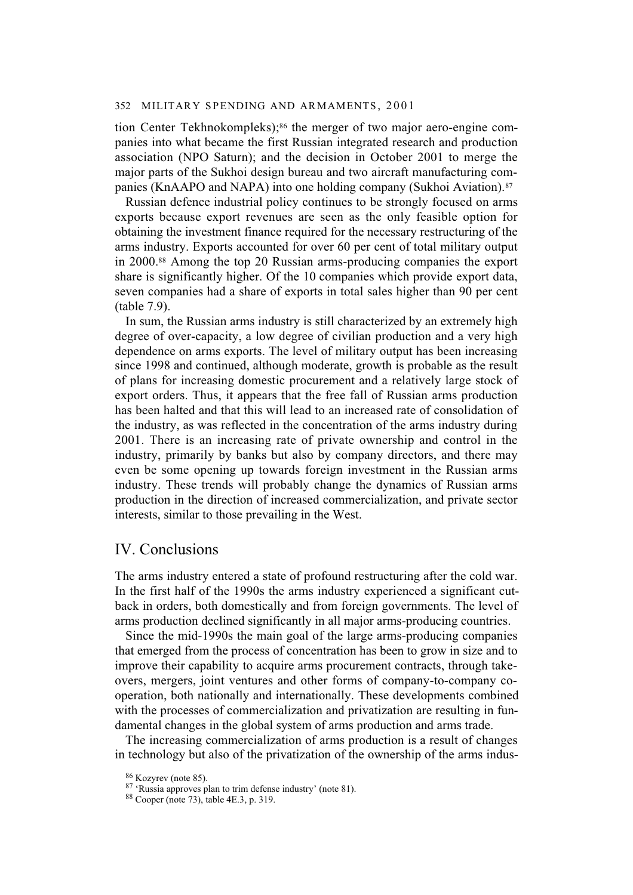tion Center Tekhnokompleks);<sup>86</sup> the merger of two major aero-engine companies into what became the first Russian integrated research and production association (NPO Saturn); and the decision in October 2001 to merge the major parts of the Sukhoi design bureau and two aircraft manufacturing companies (KnAAPO and NAPA) into one holding company (Sukhoi Aviation).<sup>87</sup>

Russian defence industrial policy continues to be strongly focused on arms exports because export revenues are seen as the only feasible option for obtaining the investment finance required for the necessary restructuring of the arms industry. Exports accounted for over 60 per cent of total military output in 2000.88 Among the top 20 Russian arms-producing companies the export share is significantly higher. Of the 10 companies which provide export data, seven companies had a share of exports in total sales higher than 90 per cent (table 7.9).

In sum, the Russian arms industry is still characterized by an extremely high degree of over-capacity, a low degree of civilian production and a very high dependence on arms exports. The level of military output has been increasing since 1998 and continued, although moderate, growth is probable as the result of plans for increasing domestic procurement and a relatively large stock of export orders. Thus, it appears that the free fall of Russian arms production has been halted and that this will lead to an increased rate of consolidation of the industry, as was reflected in the concentration of the arms industry during 2001. There is an increasing rate of private ownership and control in the industry, primarily by banks but also by company directors, and there may even be some opening up towards foreign investment in the Russian arms industry. These trends will probably change the dynamics of Russian arms production in the direction of increased commercialization, and private sector interests, similar to those prevailing in the West.

# IV. Conclusions

The arms industry entered a state of profound restructuring after the cold war. In the first half of the 1990s the arms industry experienced a significant cutback in orders, both domestically and from foreign governments. The level of arms production declined significantly in all major arms-producing countries.

Since the mid-1990s the main goal of the large arms-producing companies that emerged from the process of concentration has been to grow in size and to improve their capability to acquire arms procurement contracts, through takeovers, mergers, joint ventures and other forms of company-to-company cooperation, both nationally and internationally. These developments combined with the processes of commercialization and privatization are resulting in fundamental changes in the global system of arms production and arms trade.

The increasing commercialization of arms production is a result of changes in technology but also of the privatization of the ownership of the arms indus-

<sup>86</sup> Kozyrev (note 85).

<sup>87 &#</sup>x27;Russia approves plan to trim defense industry' (note 81).

<sup>88</sup> Cooper (note 73), table 4E.3, p. 319.